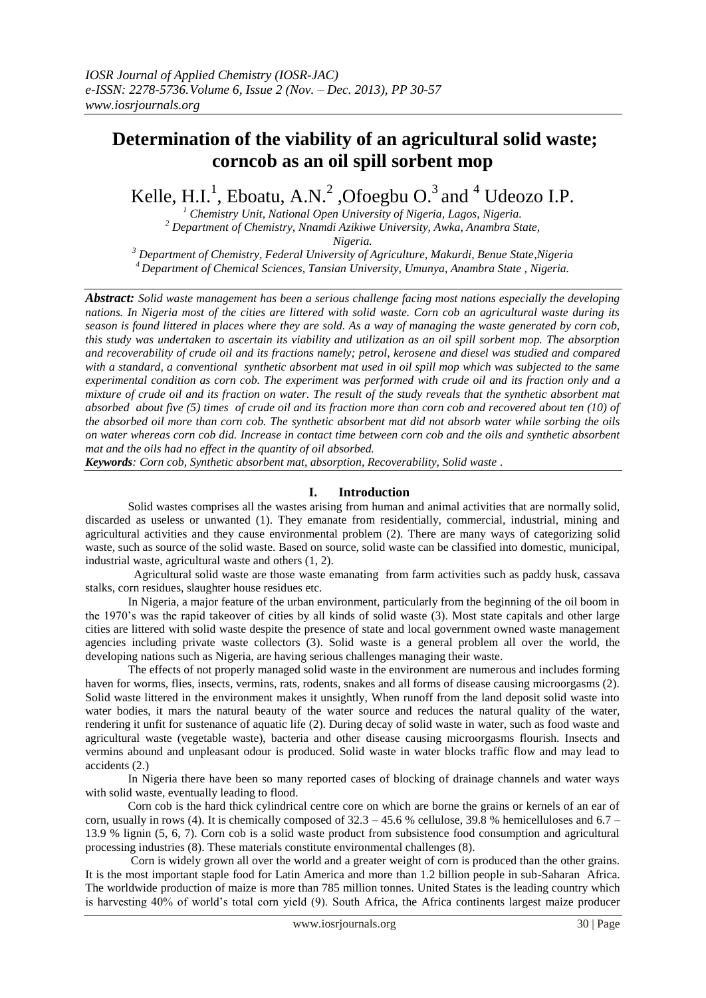# **Determination of the viability of an agricultural solid waste; corncob as an oil spill sorbent mop**

Kelle, H.I.<sup>1</sup>, Eboatu, A.N.<sup>2</sup>, Ofoegbu O.<sup>3</sup> and <sup>4</sup> Udeozo I.P.

*<sup>1</sup> Chemistry Unit, National Open University of Nigeria, Lagos, Nigeria. <sup>2</sup> Department of Chemistry, Nnamdi Azikiwe University, Awka, Anambra State,*

*Nigeria.*

*<sup>3</sup> Department of Chemistry, Federal University of Agriculture, Makurdi, Benue State,Nigeria <sup>4</sup>Department of Chemical Sciences, Tansian University, Umunya, Anambra State , Nigeria.*

*Abstract: Solid waste management has been a serious challenge facing most nations especially the developing nations. In Nigeria most of the cities are littered with solid waste. Corn cob an agricultural waste during its season is found littered in places where they are sold. As a way of managing the waste generated by corn cob, this study was undertaken to ascertain its viability and utilization as an oil spill sorbent mop. The absorption and recoverability of crude oil and its fractions namely; petrol, kerosene and diesel was studied and compared with a standard, a conventional synthetic absorbent mat used in oil spill mop which was subjected to the same experimental condition as corn cob. The experiment was performed with crude oil and its fraction only and a mixture of crude oil and its fraction on water. The result of the study reveals that the synthetic absorbent mat absorbed about five (5) times of crude oil and its fraction more than corn cob and recovered about ten (10) of the absorbed oil more than corn cob. The synthetic absorbent mat did not absorb water while sorbing the oils on water whereas corn cob did. Increase in contact time between corn cob and the oils and synthetic absorbent mat and the oils had no effect in the quantity of oil absorbed.*

*Keywords: Corn cob, Synthetic absorbent mat, absorption, Recoverability, Solid waste .*

## **I. Introduction**

Solid wastes comprises all the wastes arising from human and animal activities that are normally solid, discarded as useless or unwanted (1). They emanate from residentially, commercial, industrial, mining and agricultural activities and they cause environmental problem (2). There are many ways of categorizing solid waste, such as source of the solid waste. Based on source, solid waste can be classified into domestic, municipal, industrial waste, agricultural waste and others (1, 2).

 Agricultural solid waste are those waste emanating from farm activities such as paddy husk, cassava stalks, corn residues, slaughter house residues etc.

 In Nigeria, a major feature of the urban environment, particularly from the beginning of the oil boom in the 1970's was the rapid takeover of cities by all kinds of solid waste (3). Most state capitals and other large cities are littered with solid waste despite the presence of state and local government owned waste management agencies including private waste collectors (3). Solid waste is a general problem all over the world, the developing nations such as Nigeria, are having serious challenges managing their waste.

 The effects of not properly managed solid waste in the environment are numerous and includes forming haven for worms, flies, insects, vermins, rats, rodents, snakes and all forms of disease causing microorgasms (2). Solid waste littered in the environment makes it unsightly, When runoff from the land deposit solid waste into water bodies, it mars the natural beauty of the water source and reduces the natural quality of the water, rendering it unfit for sustenance of aquatic life (2). During decay of solid waste in water, such as food waste and agricultural waste (vegetable waste), bacteria and other disease causing microorgasms flourish. Insects and vermins abound and unpleasant odour is produced. Solid waste in water blocks traffic flow and may lead to accidents (2.)

 In Nigeria there have been so many reported cases of blocking of drainage channels and water ways with solid waste, eventually leading to flood.

 Corn cob is the hard thick cylindrical centre core on which are borne the grains or kernels of an ear of corn, usually in rows (4). It is chemically composed of  $32.3 - 45.6$  % cellulose,  $39.8$  % hemicelluloses and  $6.7 -$ 13.9 % lignin (5, 6, 7). Corn cob is a solid waste product from subsistence food consumption and agricultural processing industries (8). These materials constitute environmental challenges (8).

 Corn is widely grown all over the world and a greater weight of corn is produced than the other grains. It is the most important staple food for Latin America and more than 1.2 billion people in sub-Saharan Africa. The worldwide production of maize is more than 785 million tonnes. United States is the leading country which is harvesting 40% of world's total corn yield (9). South Africa, the Africa continents largest maize producer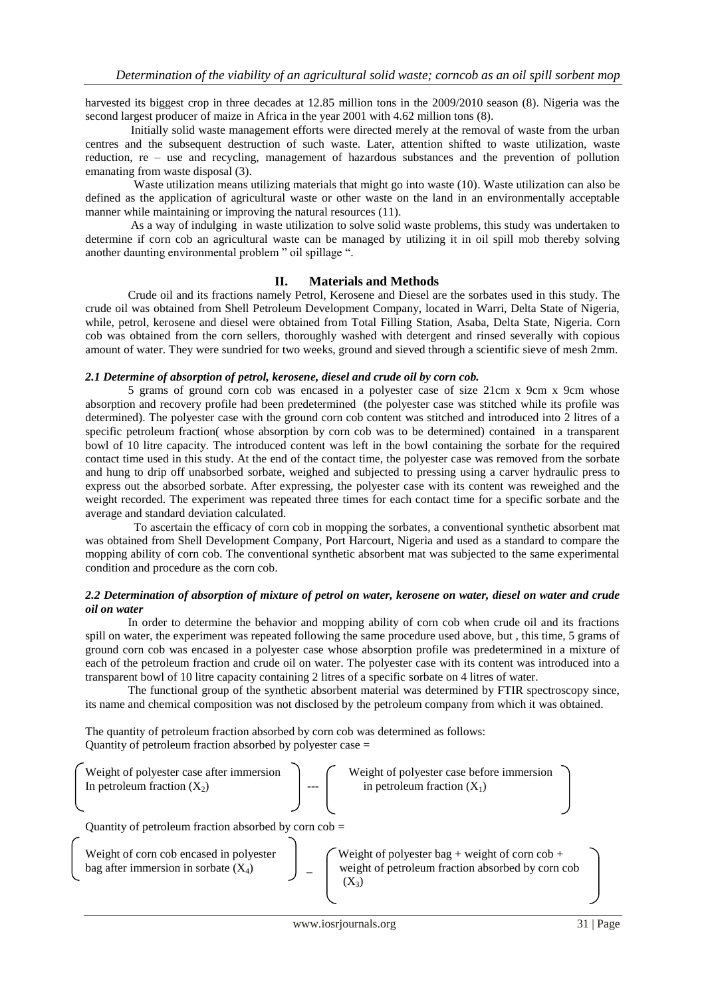harvested its biggest crop in three decades at 12.85 million tons in the 2009/2010 season (8). Nigeria was the second largest producer of maize in Africa in the year 2001 with 4.62 million tons (8).

 Initially solid waste management efforts were directed merely at the removal of waste from the urban centres and the subsequent destruction of such waste. Later, attention shifted to waste utilization, waste reduction, re – use and recycling, management of hazardous substances and the prevention of pollution emanating from waste disposal (3).

 Waste utilization means utilizing materials that might go into waste (10). Waste utilization can also be defined as the application of agricultural waste or other waste on the land in an environmentally acceptable manner while maintaining or improving the natural resources (11).

 As a way of indulging in waste utilization to solve solid waste problems, this study was undertaken to determine if corn cob an agricultural waste can be managed by utilizing it in oil spill mob thereby solving another daunting environmental problem " oil spillage ".

#### **II. Materials and Methods**

Crude oil and its fractions namely Petrol, Kerosene and Diesel are the sorbates used in this study. The crude oil was obtained from Shell Petroleum Development Company, located in Warri, Delta State of Nigeria, while, petrol, kerosene and diesel were obtained from Total Filling Station, Asaba, Delta State, Nigeria. Corn cob was obtained from the corn sellers, thoroughly washed with detergent and rinsed severally with copious amount of water. They were sundried for two weeks, ground and sieved through a scientific sieve of mesh 2mm.

### *2.1 Determine of absorption of petrol, kerosene, diesel and crude oil by corn cob.*

5 grams of ground corn cob was encased in a polyester case of size 21cm x 9cm x 9cm whose absorption and recovery profile had been predetermined (the polyester case was stitched while its profile was determined). The polyester case with the ground corn cob content was stitched and introduced into 2 litres of a specific petroleum fraction( whose absorption by corn cob was to be determined) contained in a transparent bowl of 10 litre capacity. The introduced content was left in the bowl containing the sorbate for the required contact time used in this study. At the end of the contact time, the polyester case was removed from the sorbate and hung to drip off unabsorbed sorbate, weighed and subjected to pressing using a carver hydraulic press to express out the absorbed sorbate. After expressing, the polyester case with its content was reweighed and the weight recorded. The experiment was repeated three times for each contact time for a specific sorbate and the average and standard deviation calculated.

 To ascertain the efficacy of corn cob in mopping the sorbates, a conventional synthetic absorbent mat was obtained from Shell Development Company, Port Harcourt, Nigeria and used as a standard to compare the mopping ability of corn cob. The conventional synthetic absorbent mat was subjected to the same experimental condition and procedure as the corn cob.

#### *2.2 Determination of absorption of mixture of petrol on water, kerosene on water, diesel on water and crude oil on water*

In order to determine the behavior and mopping ability of corn cob when crude oil and its fractions spill on water, the experiment was repeated following the same procedure used above, but , this time, 5 grams of ground corn cob was encased in a polyester case whose absorption profile was predetermined in a mixture of each of the petroleum fraction and crude oil on water. The polyester case with its content was introduced into a transparent bowl of 10 litre capacity containing 2 litres of a specific sorbate on 4 litres of water.

 The functional group of the synthetic absorbent material was determined by FTIR spectroscopy since, its name and chemical composition was not disclosed by the petroleum company from which it was obtained.

The quantity of petroleum fraction absorbed by corn cob was determined as follows: Quantity of petroleum fraction absorbed by polyester case =

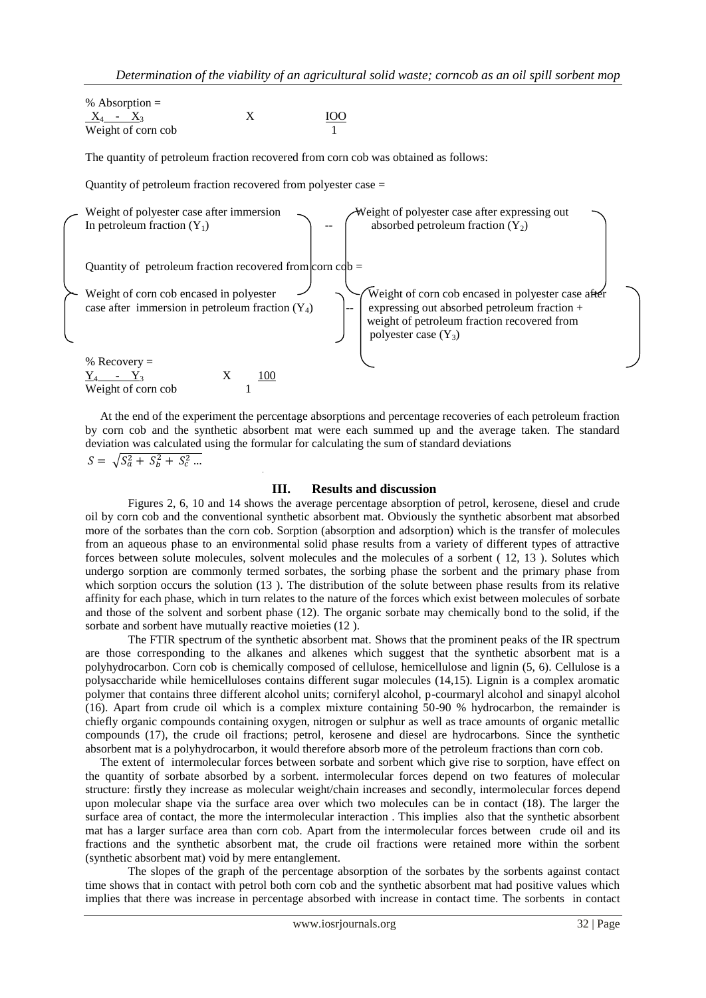% Absorption =  $X_4 - X_3$  X Weight of corn cob

The quantity of petroleum fraction recovered from corn cob was obtained as follows:

Quantity of petroleum fraction recovered from polyester case =



 At the end of the experiment the percentage absorptions and percentage recoveries of each petroleum fraction by corn cob and the synthetic absorbent mat were each summed up and the average taken. The standard deviation was calculated using the formular for calculating the sum of standard deviations

 $S = \sqrt{S_a^2 + S_b^2 + S_c^2}$ 

### **III. Results and discussion**

Figures 2, 6, 10 and 14 shows the average percentage absorption of petrol, kerosene, diesel and crude oil by corn cob and the conventional synthetic absorbent mat. Obviously the synthetic absorbent mat absorbed more of the sorbates than the corn cob. Sorption (absorption and adsorption) which is the transfer of molecules from an aqueous phase to an environmental solid phase results from a variety of different types of attractive forces between solute molecules, solvent molecules and the molecules of a sorbent ( 12, 13 ). Solutes which undergo sorption are commonly termed sorbates, the sorbing phase the sorbent and the primary phase from which sorption occurs the solution (13). The distribution of the solute between phase results from its relative affinity for each phase, which in turn relates to the nature of the forces which exist between molecules of sorbate and those of the solvent and sorbent phase (12). The organic sorbate may chemically bond to the solid, if the sorbate and sorbent have mutually reactive moieties (12 ).

 The FTIR spectrum of the synthetic absorbent mat. Shows that the prominent peaks of the IR spectrum are those corresponding to the alkanes and alkenes which suggest that the synthetic absorbent mat is a polyhydrocarbon. Corn cob is chemically composed of cellulose, hemicellulose and lignin (5, 6). Cellulose is a polysaccharide while hemicelluloses contains different sugar molecules (14,15). Lignin is a complex aromatic polymer that contains three different alcohol units; corniferyl alcohol, p-courmaryl alcohol and sinapyl alcohol (16). Apart from crude oil which is a complex mixture containing 50-90 % hydrocarbon, the remainder is chiefly organic compounds containing oxygen, nitrogen or sulphur as well as trace amounts of organic metallic compounds (17), the crude oil fractions; petrol, kerosene and diesel are hydrocarbons. Since the synthetic absorbent mat is a polyhydrocarbon, it would therefore absorb more of the petroleum fractions than corn cob.

 The extent of intermolecular forces between sorbate and sorbent which give rise to sorption, have effect on the quantity of sorbate absorbed by a sorbent. intermolecular forces depend on two features of molecular structure: firstly they increase as molecular weight/chain increases and secondly, intermolecular forces depend upon molecular shape via the surface area over which two molecules can be in contact (18). The larger the surface area of contact, the more the intermolecular interaction . This implies also that the synthetic absorbent mat has a larger surface area than corn cob. Apart from the intermolecular forces between crude oil and its fractions and the synthetic absorbent mat, the crude oil fractions were retained more within the sorbent (synthetic absorbent mat) void by mere entanglement.

 The slopes of the graph of the percentage absorption of the sorbates by the sorbents against contact time shows that in contact with petrol both corn cob and the synthetic absorbent mat had positive values which implies that there was increase in percentage absorbed with increase in contact time. The sorbents in contact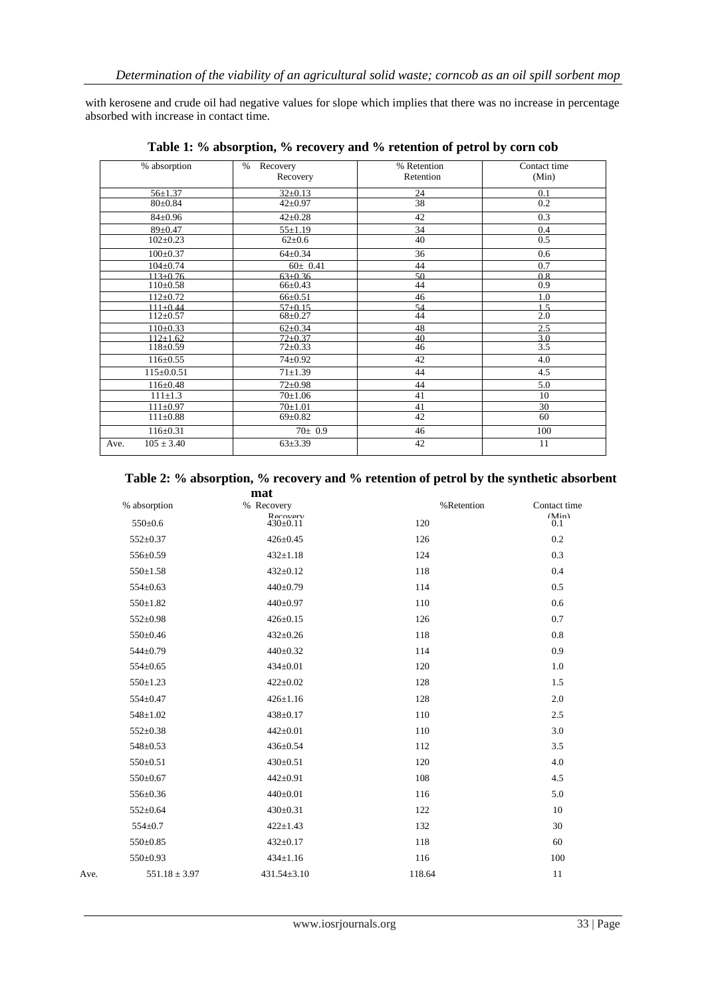with kerosene and crude oil had negative values for slope which implies that there was no increase in percentage absorbed with increase in contact time.

| % absorption           | $\%$<br>Recovery | % Retention | Contact time     |
|------------------------|------------------|-------------|------------------|
|                        | Recovery         | Retention   | (Min)            |
| $56 \pm 1.37$          | $32 \pm 0.13$    | 24          | 0.1              |
| $80 \pm 0.84$          | $42 \pm 0.97$    | 38          | 0.2              |
| $84 \pm 0.96$          | $42 \pm 0.28$    | 42          | 0.3              |
| $89 \pm 0.47$          | $55 \pm 1.19$    | 34          | 0.4              |
| $102 \pm 0.23$         | $62 \pm 0.6$     | 40          | 0.5              |
| $100 \pm 0.37$         | $64 \pm 0.34$    | 36          | 0.6              |
| $104 \pm 0.74$         | $60 \pm 0.41$    | 44          | 0.7              |
| $113+0.76$             | $63+0.36$        | 50          | 0.8              |
| $110 \pm 0.58$         | $66 \pm 0.43$    | 44          | 0.9              |
| $112 \pm 0.72$         | $66 \pm 0.51$    | 46          | 1.0              |
| $111+0.44$             | $57+0.15$        | 54          | 1 <sub>5</sub>   |
| $112 \pm 0.57$         | $68 + 0.27$      | 44          | 2.0              |
| $110+0.33$             | $62 \pm 0.34$    | 48          | 2.5              |
| $112 + 1.62$           | $72+0.37$        | 40          | 3.0              |
| $118 \pm 0.59$         | $72 + 0.33$      | 46          | $\overline{3.5}$ |
| $116 \pm 0.55$         | $74 \pm 0.92$    | 42          | 4.0              |
| $115 \pm 0.0.51$       | $71 \pm 1.39$    | 44          | 4.5              |
| $116 \pm 0.48$         | $72 \pm 0.98$    | 44          | 5.0              |
| $111 \pm 1.3$          | $70 \pm 1.06$    | 41          | 10               |
| $111 \pm 0.97$         | $70+1.01$        | 41          | 30               |
| $111 \pm 0.88$         | $69 \pm 0.82$    | 42          | 60               |
| $116 \pm 0.31$         | $70 \pm 0.9$     | 46          | 100              |
| $105 \pm 3.40$<br>Ave. | $63 + 3.39$      | 42          | 11               |

**Table 1: % absorption, % recovery and % retention of petrol by corn cob**

|     | Table 2: % absorption, % recovery and % retention of petrol by the synthetic absorbent |
|-----|----------------------------------------------------------------------------------------|
| mat |                                                                                        |

|      |                   | mar                        |            |              |
|------|-------------------|----------------------------|------------|--------------|
|      | % absorption      | % Recovery                 | %Retention | Contact time |
|      | $550 \pm 0.6$     | Recovery<br>$430 \pm 0.11$ | 120        | (Min)<br>0.1 |
|      | $552 \pm 0.37$    | $426 \pm 0.45$             | 126        | 0.2          |
|      | 556±0.59          | $432 \pm 1.18$             | 124        | 0.3          |
|      | $550 \pm 1.58$    | $432 \pm 0.12$             | 118        | 0.4          |
|      | $554 \pm 0.63$    | 440±0.79                   | 114        | 0.5          |
|      | $550 \pm 1.82$    | 440±0.97                   | 110        | 0.6          |
|      | $552 \pm 0.98$    | $426 \pm 0.15$             | 126        | 0.7          |
|      | 550±0.46          | $432 \pm 0.26$             | 118        | 0.8          |
|      | $544 \pm 0.79$    | $440 \pm 0.32$             | 114        | 0.9          |
|      | $554 \pm 0.65$    | $434 \pm 0.01$             | 120        | 1.0          |
|      | $550 \pm 1.23$    | $422 \pm 0.02$             | 128        | 1.5          |
|      | 554±0.47          | $426 \pm 1.16$             | 128        | 2.0          |
|      | $548 \pm 1.02$    | $438 \pm 0.17$             | 110        | 2.5          |
|      | $552 \pm 0.38$    | $442 \pm 0.01$             | 110        | 3.0          |
|      | $548 \pm 0.53$    | 436±0.54                   | 112        | 3.5          |
|      | $550 \pm 0.51$    | $430 \pm 0.51$             | 120        | 4.0          |
|      | 550±0.67          | 442±0.91                   | 108        | 4.5          |
|      | 556±0.36          | $440+0.01$                 | 116        | 5.0          |
|      | $552 \pm 0.64$    | $430 \pm 0.31$             | 122        | 10           |
|      | $554 \pm 0.7$     | $422 \pm 1.43$             | 132        | 30           |
|      | $550 \pm 0.85$    | $432 \pm 0.17$             | 118        | 60           |
|      | 550±0.93          | $434 \pm 1.16$             | 116        | 100          |
| Ave. | $551.18 \pm 3.97$ | $431.54 \pm 3.10$          | 118.64     | 11           |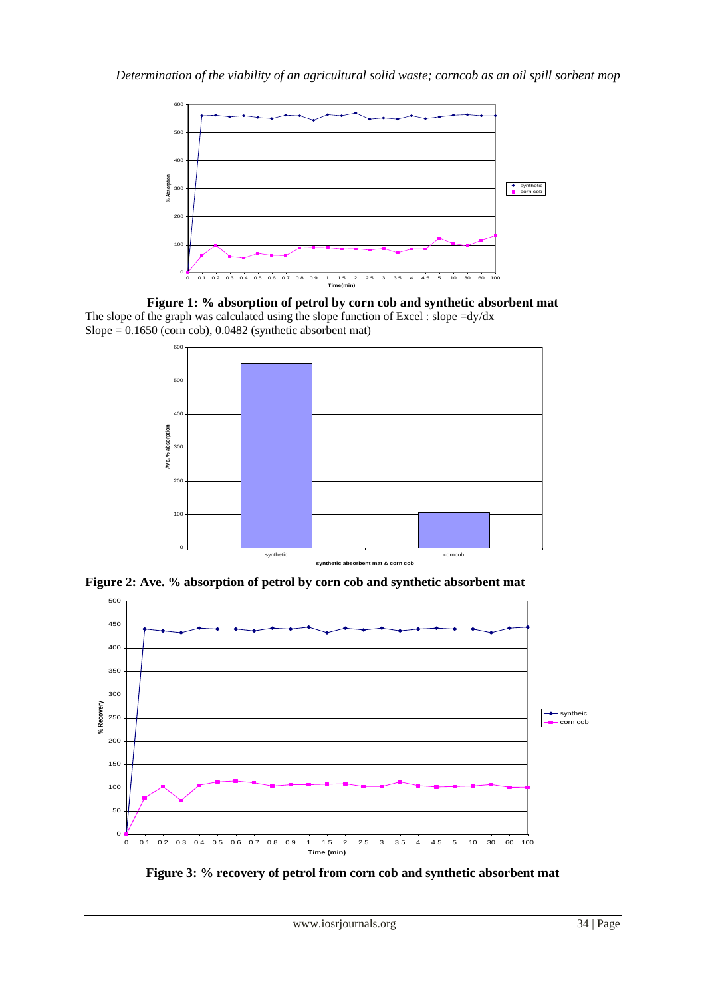





**Figure 2: Ave. % absorption of petrol by corn cob and synthetic absorbent mat**



**Figure 3: % recovery of petrol from corn cob and synthetic absorbent mat**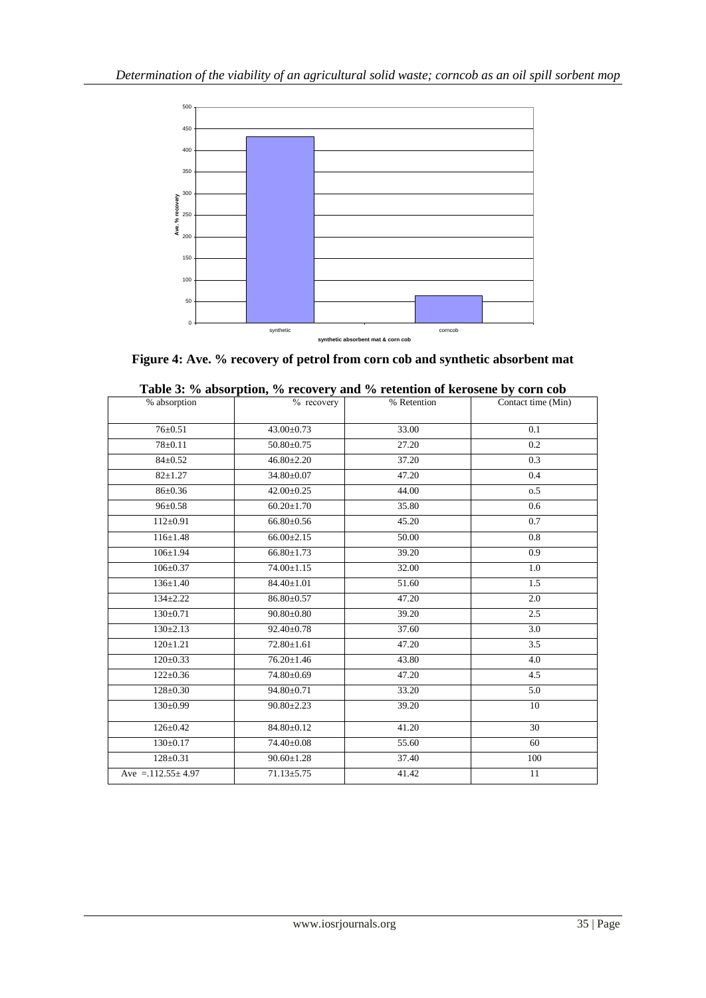

**Figure 4: Ave. % recovery of petrol from corn cob and synthetic absorbent mat**

| % absorption             | $\frac{9}{6}$ recovery | % Retention | Contact time (Min) |
|--------------------------|------------------------|-------------|--------------------|
| $76 \pm 0.51$            | 43.00±0.73             | 33.00       | 0.1                |
|                          |                        |             |                    |
| $78 \pm 0.11$            | $50.80 \pm 0.75$       | 27.20       | $\overline{0.2}$   |
| $84 \pm 0.52$            | $46.80 \pm 2.20$       | 37.20       | 0.3                |
| $82 \pm 1.27$            | $34.80 \pm 0.07$       | 47.20       | 0.4                |
| $86 \pm 0.36$            | $42.00 \pm 0.25$       | 44.00       | 0.5                |
| $96 \pm 0.58$            | $60.20 \pm 1.70$       | 35.80       | 0.6                |
| $112 \pm 0.91$           | $66.80 \pm 0.56$       | 45.20       | 0.7                |
| $116 \pm 1.48$           | $66.00 \pm 2.15$       | 50.00       | 0.8                |
| $106 \pm 1.94$           | $66.80 \pm 1.73$       | 39.20       | 0.9                |
| $106 \pm 0.37$           | $74.00 \pm 1.15$       | 32.00       | 1.0                |
| $136 \pm 1.40$           | $84.40 \pm 1.01$       | 51.60       | 1.5                |
| $134 \pm 2.22$           | 86.80±0.57             | 47.20       | 2.0                |
| $130 \pm 0.71$           | $90.80 \pm 0.80$       | 39.20       | 2.5                |
| $130 \pm 2.13$           | 92.40±0.78             | 37.60       | 3.0                |
| $120 \pm 1.21$           | $72.80 \pm 1.61$       | 47.20       | 3.5                |
| $120 \pm 0.33$           | $76.20 \pm 1.46$       | 43.80       | 4.0                |
| $122 \pm 0.36$           | 74.80±0.69             | 47.20       | 4.5                |
| $128 \pm 0.30$           | $94.80 \pm 0.71$       | 33.20       | 5.0                |
| $130 \pm 0.99$           | $90.80 \pm 2.23$       | 39.20       | 10                 |
| $126 \pm 0.42$           | 84.80±0.12             | 41.20       | 30                 |
| $130 \pm 0.17$           | 74.40±0.08             | 55.60       | 60                 |
| $128 \pm 0.31$           | $90.60 \pm 1.28$       | 37.40       | 100                |
| Ave = $.112.55 \pm 4.97$ | $71.13 \pm 5.75$       | 41.42       | 11                 |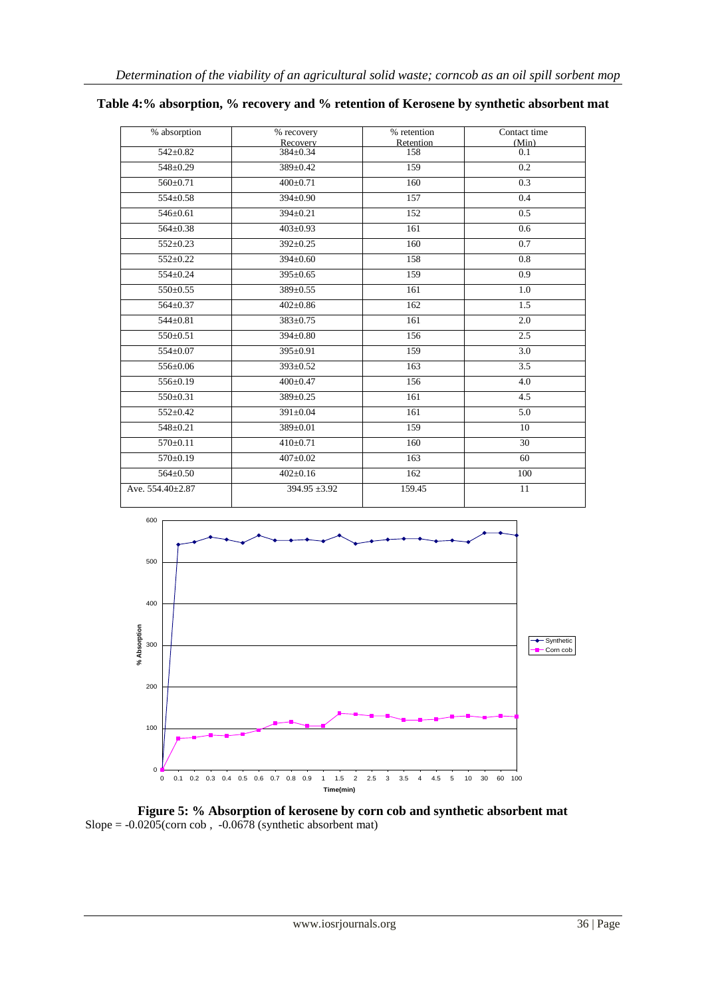| % absorption     | % recovery           | % retention      | Contact time     |
|------------------|----------------------|------------------|------------------|
| $542 \pm 0.82$   | Recovery<br>384±0.34 | Retention<br>158 | (Min)<br>0.1     |
|                  |                      |                  |                  |
| $548 \pm 0.29$   | 389±0.42             | 159              | 0.2              |
| $560 \pm 0.71$   | $400 \pm 0.71$       | $\overline{160}$ | 0.3              |
| 554±0.58         | 394±0.90             | 157              | 0.4              |
| $546 \pm 0.61$   | 394±0.21             | 152              | 0.5              |
| $564 \pm 0.38$   | $403 \pm 0.93$       | 161              | 0.6              |
| $552 \pm 0.23$   | $392 \pm 0.25$       | 160              | 0.7              |
| $552+0.22$       | 394±0.60             | 158              | 0.8              |
| $554 \pm 0.24$   | $395 \pm 0.65$       | 159              | 0.9              |
| $550 \pm 0.55$   | 389±0.55             | 161              | 1.0              |
| $564 \pm 0.37$   | $402 \pm 0.86$       | 162              | 1.5              |
| $544 \pm 0.81$   | 383±0.75             | 161              | 2.0              |
| 550±0.51         | 394±0.80             | 156              | 2.5              |
| $554 \pm 0.07$   | 395±0.91             | 159              | 3.0              |
| 556±0.06         | $393 \pm 0.52$       | 163              | $\overline{3.5}$ |
| 556±0.19         | $400 \pm 0.47$       | 156              | 4.0              |
| $550 \pm 0.31$   | 389±0.25             | 161              | 4.5              |
| 552±0.42         | 391±0.04             | 161              | 5.0              |
| $548 \pm 0.21$   | 389±0.01             | 159              | 10               |
| $570+0.11$       | $410+0.71$           | 160              | 30               |
| 570±0.19         | $407 + 0.02$         | 163              | 60               |
| $564 \pm 0.50$   | $402 \pm 0.16$       | 162              | 100              |
| Ave. 554.40±2.87 | $394.95 + 3.92$      | 159.45           | 11               |

# **Table 4:% absorption, % recovery and % retention of Kerosene by synthetic absorbent mat**



**Figure 5: % Absorption of kerosene by corn cob and synthetic absorbent mat** Slope =  $-0.0205$ (corn cob,  $-0.0678$  (synthetic absorbent mat)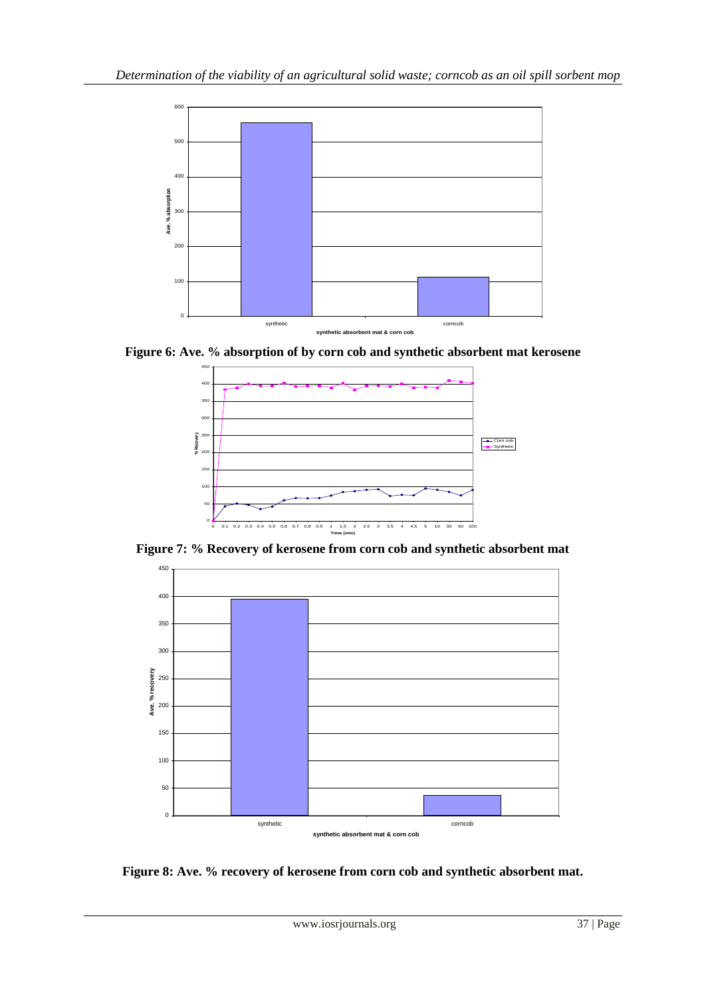

**Figure 6: Ave. % absorption of by corn cob and synthetic absorbent mat kerosene**



**Figure 7: % Recovery of kerosene from corn cob and synthetic absorbent mat**



**Figure 8: Ave. % recovery of kerosene from corn cob and synthetic absorbent mat.**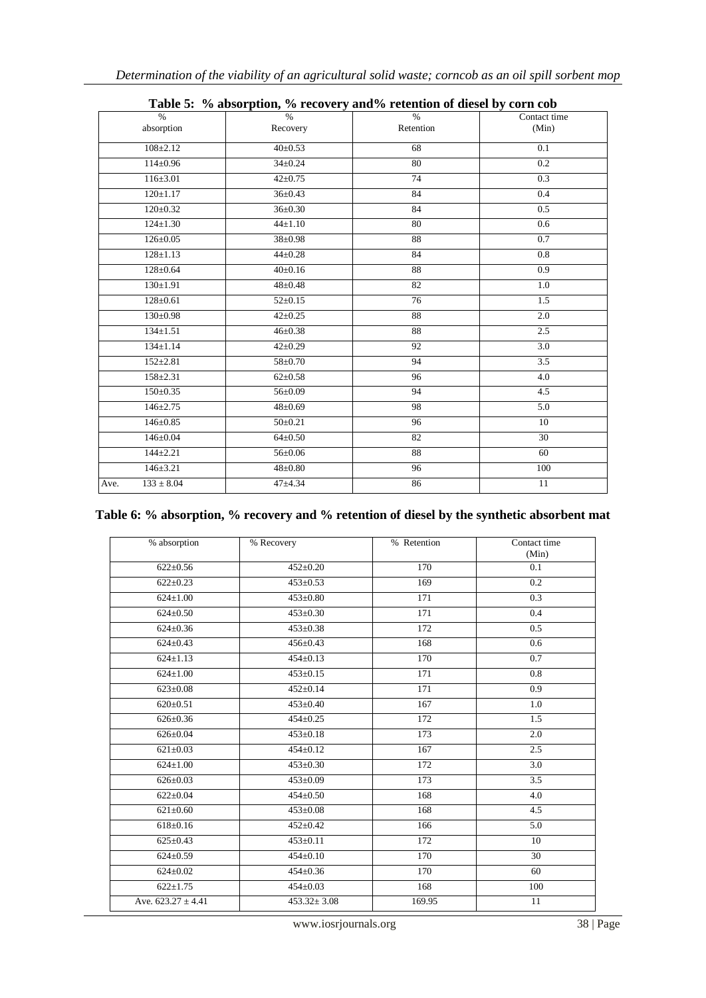|                             | Table 5. 70 absorption, 70 Fecovery and 70 Federation of dieser by corn cop |                            |                       |
|-----------------------------|-----------------------------------------------------------------------------|----------------------------|-----------------------|
| $\frac{0}{0}$<br>absorption | $\frac{0}{0}$<br>Recovery                                                   | $\frac{0}{0}$<br>Retention | Contact time<br>(Min) |
| $108 + 2.12$                | $40 \pm 0.53$                                                               | 68                         | 0.1                   |
| $114 \pm 0.96$              | $34 \pm 0.24$                                                               | 80                         | 0.2                   |
| $116 \pm 3.01$              | $42 \pm 0.75$                                                               | 74                         | 0.3                   |
| $120 \pm 1.17$              | $36 \pm 0.43$                                                               | 84                         | 0.4                   |
| $120 \pm 0.32$              | $36 \pm 0.30$                                                               | 84                         | 0.5                   |
| $124 \pm 1.30$              | $44 \pm 1.10$                                                               | 80                         | 0.6                   |
| $126 \pm 0.05$              | $38 \pm 0.98$                                                               | 88                         | 0.7                   |
| $128 \pm 1.13$              | $44{\pm}0.28$                                                               | 84                         | 0.8                   |
| $128 \pm 0.64$              | $40 \pm 0.16$                                                               | 88                         | 0.9                   |
| $130 \pm 1.91$              | $48 \pm 0.48$                                                               | 82                         | 1.0                   |
| $128 \pm 0.61$              | $52 \pm 0.15$                                                               | 76                         | 1.5                   |
| $130 \pm 0.98$              | $42+0.25$                                                                   | 88                         | 2.0                   |
| $134 \pm 1.51$              | $46 \pm 0.38$                                                               | 88                         | 2.5                   |
| $134 \pm 1.14$              | $42 \pm 0.29$                                                               | 92                         | 3.0                   |
| $152 \pm 2.81$              | 58±0.70                                                                     | 94                         | 3.5                   |
| $158 \pm 2.31$              | $62 \pm 0.58$                                                               | 96                         | 4.0                   |
| $150 \pm 0.35$              | $56 \pm 0.09$                                                               | 94                         | 4.5                   |
| $146 \pm 2.75$              | $48 \pm 0.69$                                                               | 98                         | 5.0                   |
| $146 \pm 0.85$              | $50 \pm 0.21$                                                               | 96                         | 10                    |
| $146 \pm 0.04$              | $64 \pm 0.50$                                                               | 82                         | 30                    |
| $144 + 2.21$                | 56±0.06                                                                     | 88                         | 60                    |
| $146 \pm 3.21$              | $48 \pm 0.80$                                                               | 96                         | 100                   |
| $133 \pm 8.04$<br>Ave.      | $47 + 4.34$                                                                 | 86                         | 11                    |

# **Table 5: % absorption, % recovery and% retention of diesel by corn cob**

# **Table 6: % absorption, % recovery and % retention of diesel by the synthetic absorbent mat**

| % absorption           | % Recovery        | % Retention | Contact time<br>(Min) |
|------------------------|-------------------|-------------|-----------------------|
| $622 \pm 0.56$         | $452 \pm 0.20$    | 170         | 0.1                   |
| $622 \pm 0.23$         | $453 \pm 0.53$    | 169         | 0.2                   |
| $624 \pm 1.00$         | $453 \pm 0.80$    | 171         | 0.3                   |
| $624 \pm 0.50$         | $453 \pm 0.30$    | 171         | 0.4                   |
| $624 \pm 0.36$         | $453 \pm 0.38$    | 172         | 0.5                   |
| $624 \pm 0.43$         | $456 \pm 0.43$    | 168         | 0.6                   |
| $624 \pm 1.13$         | $454 \pm 0.13$    | 170         | 0.7                   |
| $624 \pm 1.00$         | $453 \pm 0.15$    | 171         | 0.8                   |
| $623 \pm 0.08$         | $452 \pm 0.14$    | 171         | 0.9                   |
| $620 \pm 0.51$         | $453 \pm 0.40$    | 167         | 1.0                   |
| $626 \pm 0.36$         | $454 \pm 0.25$    | 172         | 1.5                   |
| $626 \pm 0.04$         | $453 \pm 0.18$    | 173         | 2.0                   |
| $621 \pm 0.03$         | $454 \pm 0.12$    | 167         | 2.5                   |
| $624 \pm 1.00$         | $453 \pm 0.30$    | 172         | 3.0                   |
| $626 \pm 0.03$         | $453 \pm 0.09$    | 173         | 3.5                   |
| $622 \pm 0.04$         | $454 \pm 0.50$    | 168         | 4.0                   |
| $621 \pm 0.60$         | $453 \pm 0.08$    | 168         | 4.5                   |
| $618 \pm 0.16$         | $452 \pm 0.42$    | 166         | $\overline{5.0}$      |
| $625 \pm 0.43$         | $453 \pm 0.11$    | 172         | 10                    |
| $624 \pm 0.59$         | $454 \pm 0.10$    | 170         | 30                    |
| $624 \pm 0.02$         | $454 \pm 0.36$    | 170         | 60                    |
| $622 \pm 1.75$         | $454 \pm 0.03$    | 168         | 100                   |
| Ave. $623.27 \pm 4.41$ | $453.32 \pm 3.08$ | 169.95      | 11                    |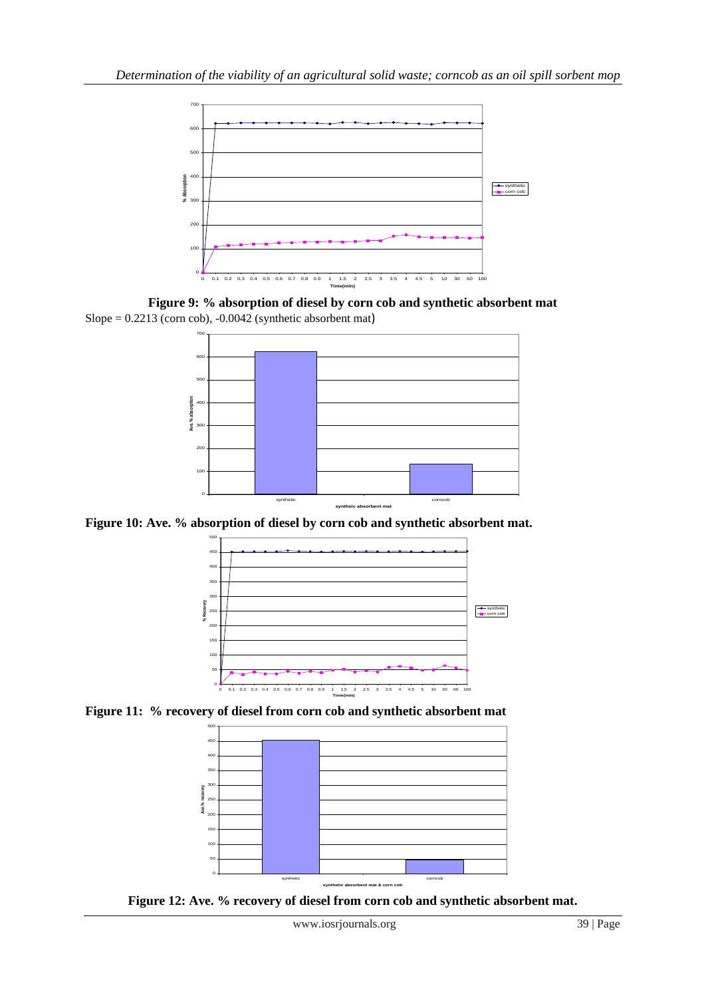

**Figure 9: % absorption of diesel by corn cob and synthetic absorbent mat** Slope =  $0.2213$  (corn cob),  $-0.0042$  (synthetic absorbent mat)



**Figure 10: Ave. % absorption of diesel by corn cob and synthetic absorbent mat.**



**Figure 11: % recovery of diesel from corn cob and synthetic absorbent mat**



**Figure 12: Ave. % recovery of diesel from corn cob and synthetic absorbent mat.**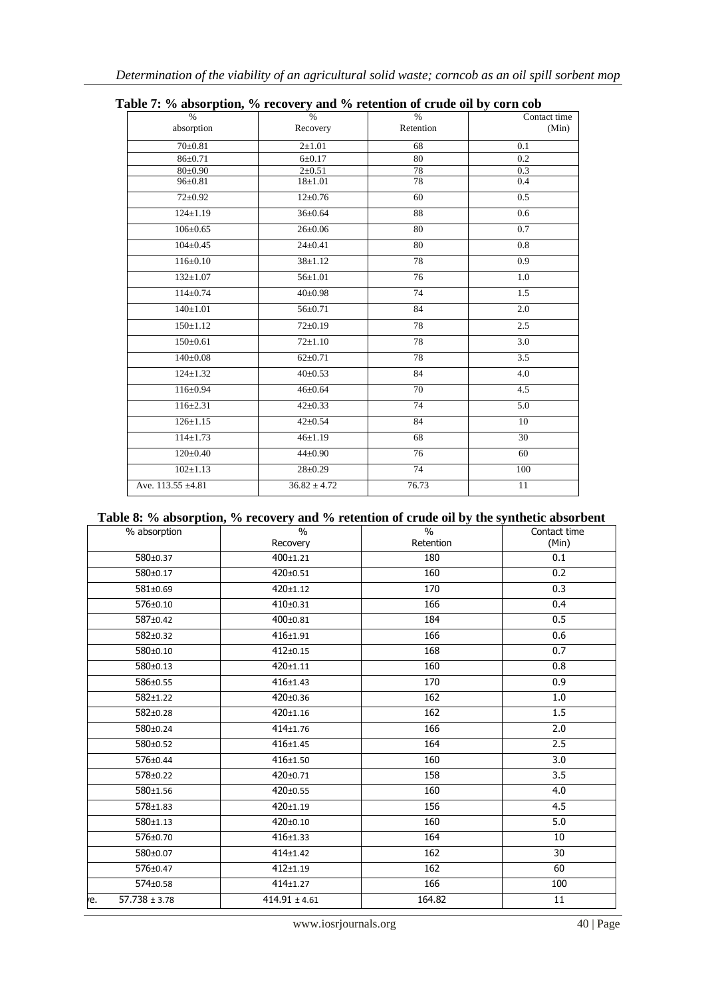| $\frac{0}{6}$     | $\frac{1}{2}$<br>$\frac{0}{6}$ | $\%$            | $\sim$ $\sim$ $\sim$ $\sim$<br>Contact time |
|-------------------|--------------------------------|-----------------|---------------------------------------------|
| absorption        | Recovery                       | Retention       | (Min)                                       |
| $70+0.81$         | $2+1.01$                       | 68              | 0.1                                         |
| $86 \pm 0.71$     | $6 \pm 0.17$                   | 80              | $\overline{0.2}$                            |
| $80 \pm 0.90$     | $2 \pm 0.51$                   | 78              | 0.3                                         |
| $96 \pm 0.81$     | $18 + 1.01$                    | 78              | 0.4                                         |
| $72 \pm 0.92$     | $12 \pm 0.76$                  | 60              | $\overline{0.5}$                            |
| $124 \pm 1.19$    | $36 \pm 0.64$                  | 88              | 0.6                                         |
| $106 \pm 0.65$    | $26 \pm 0.06$                  | 80              | 0.7                                         |
| $104 \pm 0.45$    | $24 \pm 0.41$                  | 80              | 0.8                                         |
| $116 \pm 0.10$    | $38 \pm 1.12$                  | 78              | 0.9                                         |
| $132+1.07$        | $56 + 1.01$                    | 76              | 1.0                                         |
| $114 \pm 0.74$    | $40 \pm 0.98$                  | 74              | 1.5                                         |
| $140 \pm 1.01$    | $56 \pm 0.71$                  | 84              | 2.0                                         |
| $150 \pm 1.12$    | $72 \pm 0.19$                  | 78              | 2.5                                         |
| $150 \pm 0.61$    | $72 \pm 1.10$                  | 78              | $\overline{3.0}$                            |
| $140 \pm 0.08$    | $62 \pm 0.71$                  | 78              | $\overline{3.5}$                            |
| $124 \pm 1.32$    | $40 \pm 0.53$                  | 84              | 4.0                                         |
| $116 \pm 0.94$    | $46 \pm 0.64$                  | $\overline{70}$ | $\overline{4.5}$                            |
| $116 \pm 2.31$    | $42 \pm 0.33$                  | 74              | 5.0                                         |
| $126 \pm 1.15$    | $42 \pm 0.54$                  | 84              | 10                                          |
| $114 \pm 1.73$    | $46 \pm 1.19$                  | 68              | 30                                          |
| $120 \pm 0.40$    | $44 \pm 0.90$                  | $\overline{76}$ | 60                                          |
| $102 \pm 1.13$    | $28 \pm 0.29$                  | 74              | 100                                         |
| Ave. 113.55 ±4.81 | $36.82 \pm 4.72$               | 76.73           | 11                                          |

| Table 7: % absorption, % recovery and % retention of crude oil by corn cob |  |  |  |
|----------------------------------------------------------------------------|--|--|--|
|----------------------------------------------------------------------------|--|--|--|

## **Table 8: % absorption, % recovery and % retention of crude oil by the synthetic absorbent**

| % absorption                       | $\overline{\frac{0}{0}}$<br>Recovery | ັ<br>$\frac{0}{0}$<br>Retention | Contact time<br>(Min) |
|------------------------------------|--------------------------------------|---------------------------------|-----------------------|
| 580±0.37                           | $400+1.21$                           | 180                             | 0.1                   |
| 580±0.17                           | $420 \pm 0.51$                       | 160                             | 0.2                   |
| 581±0.69                           | $420 \pm 1.12$                       | 170                             | 0.3                   |
| 576±0.10                           | $410+0.31$                           | 166                             | 0.4                   |
| 587±0.42                           | $400 \pm 0.81$                       | 184                             | 0.5                   |
| 582±0.32                           | $416 + 1.91$                         | 166                             | 0.6                   |
| 580±0.10                           | $412+0.15$                           | 168                             | 0.7                   |
| 580±0.13                           | 420±1.11                             | 160                             | 0.8                   |
| 586±0.55                           | $416 + 1.43$                         | 170                             | 0.9                   |
| $582+1.22$                         | $420 \pm 0.36$                       | 162                             | 1.0                   |
| 582±0.28                           | $420 \pm 1.16$                       | 162                             | 1.5                   |
| 580±0.24                           | $414 + 1.76$                         | 166                             | 2.0                   |
| 580±0.52                           | $416 + 1.45$                         | 164                             | 2.5                   |
| 576±0.44                           | $416 + 1.50$                         | 160                             | 3.0                   |
| 578±0.22                           | $420 \pm 0.71$                       | 158                             | 3.5                   |
| 580±1.56                           | $420 \pm 0.55$                       | 160                             | 4.0                   |
| 578±1.83                           | $420 \pm 1.19$                       | 156                             | 4.5                   |
| 580±1.13                           | $420+0.10$                           | 160                             | 5.0                   |
| 576±0.70                           | $416 \pm 1.33$                       | 164                             | 10                    |
| 580±0.07                           | $414 + 1.42$                         | 162                             | 30                    |
| 576±0.47                           | $412 + 1.19$                         | 162                             | 60                    |
| 574±0.58                           | $414 + 1.27$                         | 166                             | 100                   |
| $\overline{57.738} \pm 3.78$<br>e. | $414.91 \pm 4.61$                    | 164.82                          | 11                    |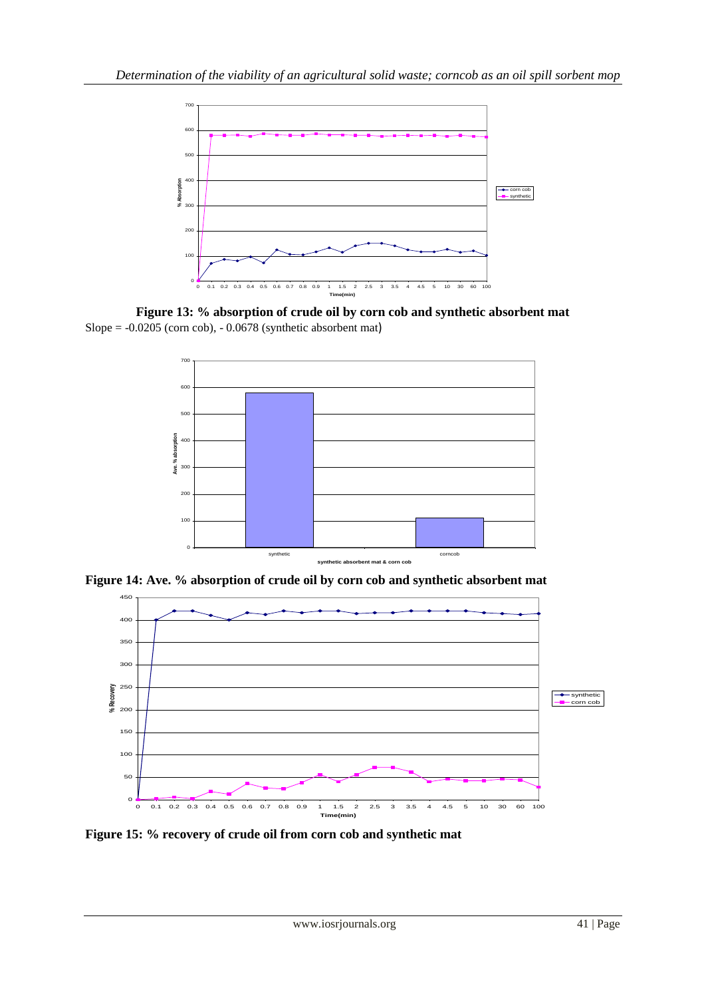

**Figure 13: % absorption of crude oil by corn cob and synthetic absorbent mat** Slope =  $-0.0205$  (corn cob),  $-0.0678$  (synthetic absorbent mat)



**Figure 14: Ave. % absorption of crude oil by corn cob and synthetic absorbent mat**



**Figure 15: % recovery of crude oil from corn cob and synthetic mat**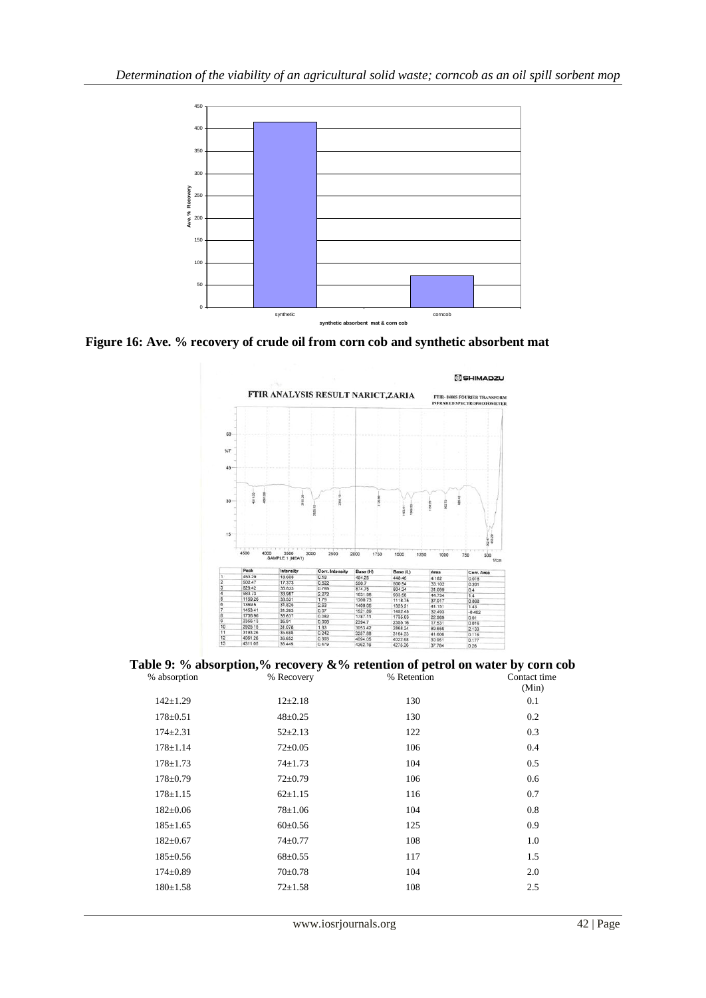

**Figure 16: Ave. % recovery of crude oil from corn cob and synthetic absorbent mat**



| % absorption   | Table 9: % absorption,% recovery &% retention of petrol on water by corn cob<br>% Recovery | % Retention | Contact time<br>(Min) |
|----------------|--------------------------------------------------------------------------------------------|-------------|-----------------------|
| $142 \pm 1.29$ | $12\pm 2.18$                                                                               | 130         | 0.1                   |
| $178 \pm 0.51$ | $48 \pm 0.25$                                                                              | 130         | 0.2                   |
| $174 \pm 2.31$ | $52 \pm 2.13$                                                                              | 122         | 0.3                   |
| $178 \pm 1.14$ | $72 \pm 0.05$                                                                              | 106         | 0.4                   |
| $178 \pm 1.73$ | $74 \pm 1.73$                                                                              | 104         | 0.5                   |
| $178 \pm 0.79$ | $72 \pm 0.79$                                                                              | 106         | 0.6                   |
| $178 \pm 1.15$ | $62 \pm 1.15$                                                                              | 116         | 0.7                   |
| $182 \pm 0.06$ | $78 \pm 1.06$                                                                              | 104         | 0.8                   |
| $185 \pm 1.65$ | $60 \pm 0.56$                                                                              | 125         | 0.9                   |
| $182 \pm 0.67$ | $74 \pm 0.77$                                                                              | 108         | 1.0                   |
| $185 \pm 0.56$ | $68 \pm 0.55$                                                                              | 117         | 1.5                   |
| $174 \pm 0.89$ | $70 \pm 0.78$                                                                              | 104         | 2.0                   |
| $180 \pm 1.58$ | $72 + 1.58$                                                                                | 108         | 2.5                   |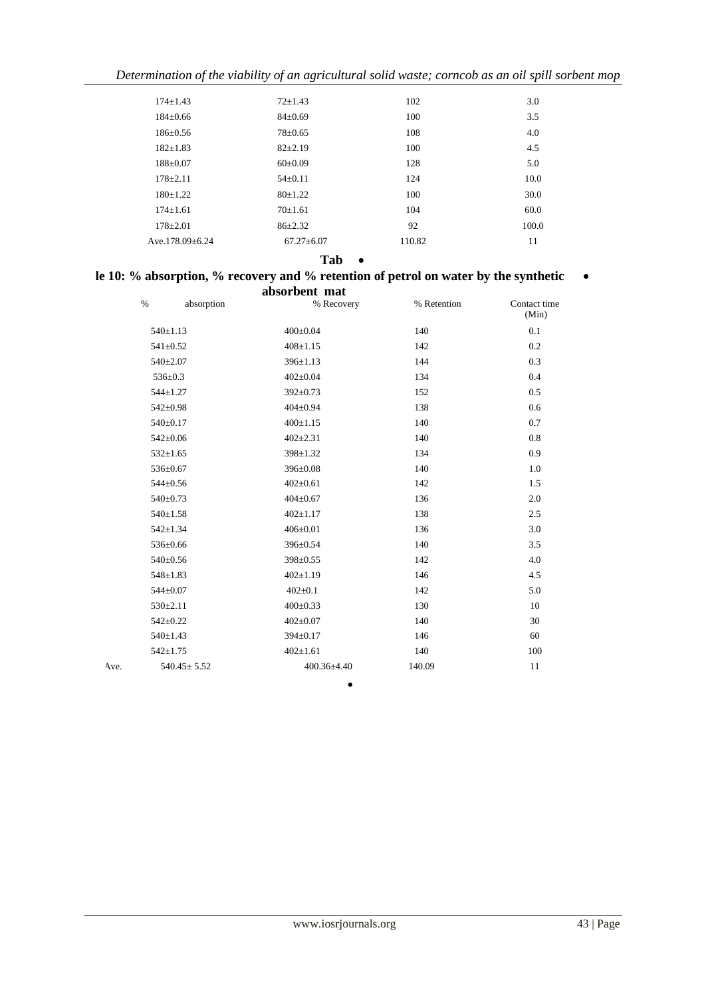*Determination of the viability of an agricultural solid waste; corncob as an oil spill sorbent mop*

| $174 + 1.43$         | $72 \pm 1.43$  | 102    | 3.0   |
|----------------------|----------------|--------|-------|
| $184+0.66$           | $84 \pm 0.69$  | 100    | 3.5   |
| $186 \pm 0.56$       | $78 \pm 0.65$  | 108    | 4.0   |
| $182 + 1.83$         | $82+2.19$      | 100    | 4.5   |
| $188 + 0.07$         | $60\pm0.09$    | 128    | 5.0   |
| $178 + 2.11$         | $54\pm0.11$    | 124    | 10.0  |
| $180+1.22$           | $80+1.22$      | 100    | 30.0  |
| $174+1.61$           | $70+1.61$      | 104    | 60.0  |
| $178 + 2.01$         | $86 + 2.32$    | 92     | 100.0 |
| Ave. $178.09 + 6.24$ | $67.27 + 6.07$ | 110.82 | 11    |
|                      |                |        |       |

#### **Tab**

# **le 10: % absorption, % recovery and % retention of petrol on water by the synthetic**

|      |                   |            | absorbent mat  |                 |             |                       |
|------|-------------------|------------|----------------|-----------------|-------------|-----------------------|
|      | $\%$              | absorption |                | % Recovery      | % Retention | Contact time<br>(Min) |
|      | $540 \pm 1.13$    |            | $400 \pm 0.04$ |                 | 140         | 0.1                   |
|      | $541 \pm 0.52$    |            | $408 \pm 1.15$ |                 | 142         | 0.2                   |
|      | $540 \pm 2.07$    |            | $396 \pm 1.13$ |                 | 144         | 0.3                   |
|      | $536 \pm 0.3$     |            | $402 \pm 0.04$ |                 | 134         | 0.4                   |
|      | $544 \pm 1.27$    |            | $392 \pm 0.73$ |                 | 152         | 0.5                   |
|      | $542 \pm 0.98$    |            | $404 \pm 0.94$ |                 | 138         | 0.6                   |
|      | $540 \pm 0.17$    |            | $400 \pm 1.15$ |                 | 140         | 0.7                   |
|      | $542 \pm 0.06$    |            | $402 \pm 2.31$ |                 | 140         | 0.8                   |
|      | $532 \pm 1.65$    |            | 398±1.32       |                 | 134         | 0.9                   |
|      | 536±0.67          |            | 396±0.08       |                 | 140         | 1.0                   |
|      | $544 \pm 0.56$    |            | $402 \pm 0.61$ |                 | 142         | 1.5                   |
|      | 540±0.73          |            | $404 \pm 0.67$ |                 | 136         | 2.0                   |
|      | $540 \pm 1.58$    |            | $402 \pm 1.17$ |                 | 138         | 2.5                   |
|      | $542 \pm 1.34$    |            | $406 \pm 0.01$ |                 | 136         | 3.0                   |
|      | 536±0.66          |            | 396±0.54       |                 | 140         | 3.5                   |
|      | $540 \pm 0.56$    |            | 398±0.55       |                 | 142         | 4.0                   |
|      | $548 \pm 1.83$    |            | $402 \pm 1.19$ |                 | 146         | 4.5                   |
|      | $544 \pm 0.07$    |            | $402 \pm 0.1$  |                 | 142         | 5.0                   |
|      | $530 \pm 2.11$    |            | $400 \pm 0.33$ |                 | 130         | 10                    |
|      | $542 \pm 0.22$    |            | $402 \pm 0.07$ |                 | 140         | 30                    |
|      | $540 \pm 1.43$    |            | 394±0.17       |                 | 146         | 60                    |
|      | $542 \pm 1.75$    |            | $402 \pm 1.61$ |                 | 140         | 100                   |
| Ave. | $540.45 \pm 5.52$ |            |                | $400.36 + 4.40$ | 140.09      | 11                    |

 $\bullet$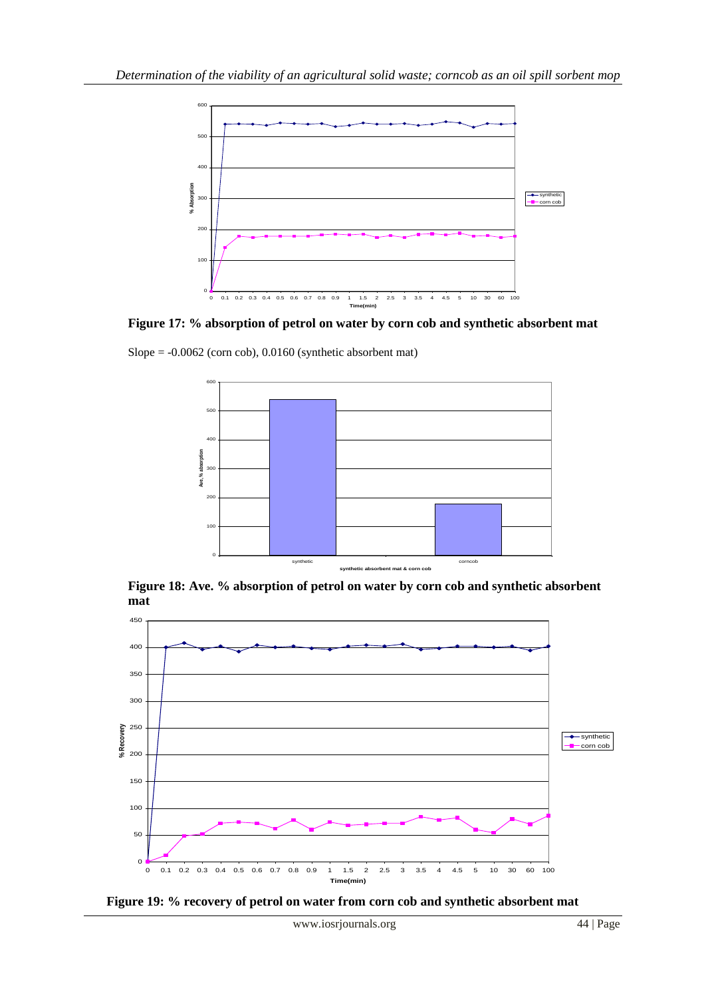

**Figure 17: % absorption of petrol on water by corn cob and synthetic absorbent mat**

 $Slope = -0.0062$  (corn cob),  $0.0160$  (synthetic absorbent mat)



**Figure 18: Ave. % absorption of petrol on water by corn cob and synthetic absorbent mat**



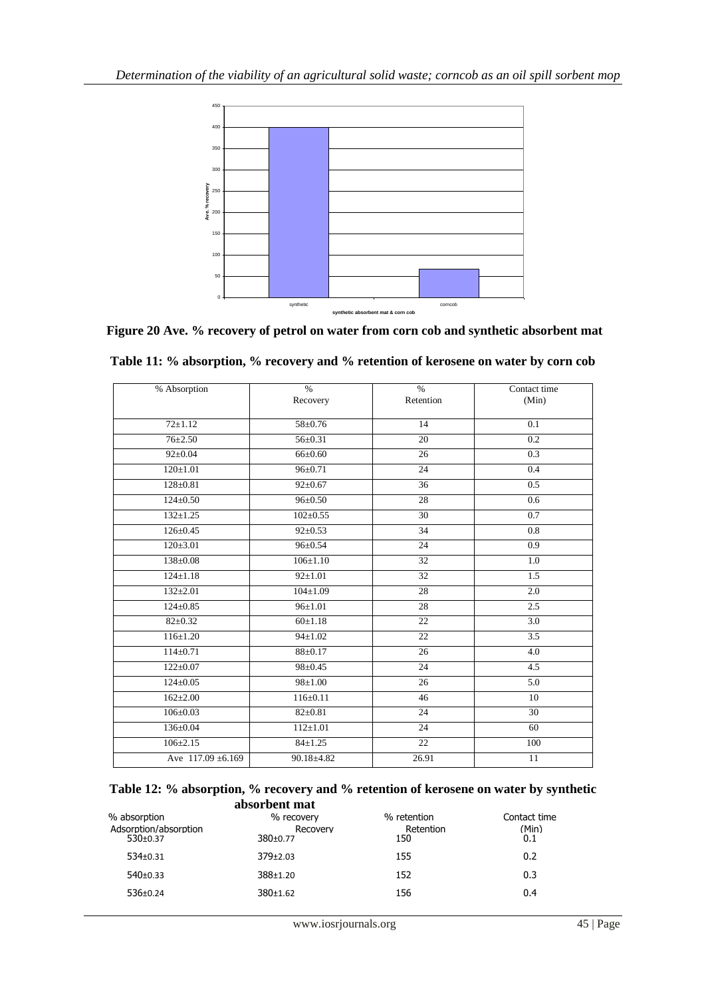

**Figure 20 Ave. % recovery of petrol on water from corn cob and synthetic absorbent mat**

| % Absorption           | $\frac{0}{0}$  | $\frac{0}{0}$   | Contact time    |  |  |  |
|------------------------|----------------|-----------------|-----------------|--|--|--|
|                        | Recovery       | Retention       | (Min)           |  |  |  |
| $72 \pm 1.12$          | $58 \pm 0.76$  | 14              | 0.1             |  |  |  |
| $76 \pm 2.50$          | $56 \pm 0.31$  | 20              | 0.2             |  |  |  |
| $92 \pm 0.04$          | $66{\pm}0.60$  | $\overline{26}$ | 0.3             |  |  |  |
| $120 \pm 1.01$         | $96 \pm 0.71$  | 24              | 0.4             |  |  |  |
| $128 + 0.81$           | $92 \pm 0.67$  | 36              | 0.5             |  |  |  |
| $124 \pm 0.50$         | $96 \pm 0.50$  | 28              | 0.6             |  |  |  |
| $132 \pm 1.25$         | $102 \pm 0.55$ | 30              | 0.7             |  |  |  |
| $126 \pm 0.45$         | $92 \pm 0.53$  | 34              | 0.8             |  |  |  |
| $120 \pm 3.01$         | $96 \pm 0.54$  | $\overline{24}$ | 0.9             |  |  |  |
| $138 \pm 0.08$         | $106 \pm 1.10$ | 32              | 1.0             |  |  |  |
| $124 \pm 1.18$         | $92 \pm 1.01$  | 32              | 1.5             |  |  |  |
| $132+2.01$             | $104 \pm 1.09$ | 28              | 2.0             |  |  |  |
| $124 \pm 0.85$         | $96 \pm 1.01$  | 28              | 2.5             |  |  |  |
| $82 \pm 0.32$          | 60±1.18        | 22              | 3.0             |  |  |  |
| $116 \pm 1.20$         | $94 \pm 1.02$  | 22              | 3.5             |  |  |  |
| $114 \pm 0.71$         | $88 \pm 0.17$  | 26              | 4.0             |  |  |  |
| $122 \pm 0.07$         | $98 \pm 0.45$  | 24              | 4.5             |  |  |  |
| $124 \pm 0.05$         | $98 \pm 1.00$  | 26              | 5.0             |  |  |  |
| $162 \pm 2.00$         | $116 \pm 0.11$ | 46              | 10              |  |  |  |
| $106 \pm 0.03$         | $82 \pm 0.81$  | 24              | $\overline{30}$ |  |  |  |
| $136 \pm 0.04$         | $112 \pm 1.01$ | 24              | 60              |  |  |  |
| $106 \pm 2.15$         | $84 \pm 1.25$  | $\overline{22}$ | 100             |  |  |  |
| Ave $117.09 \pm 6.169$ | $90.18 + 4.82$ | 26.91           | 11              |  |  |  |

| Table 11: % absorption, % recovery and % retention of kerosene on water by corn cob |  |  |  |  |  |  |
|-------------------------------------------------------------------------------------|--|--|--|--|--|--|
|-------------------------------------------------------------------------------------|--|--|--|--|--|--|

|               | Table 12: % absorption, % recovery and % retention of kerosene on water by synthetic |
|---------------|--------------------------------------------------------------------------------------|
| absorbent mat |                                                                                      |

| % absorption<br>Adsorption/absorption<br>$530+0.37$ | % recovery<br>Recovery<br>$380+0.77$ | % retention<br>Retention<br>150 | Contact time<br>(Min)<br>0.1 |
|-----------------------------------------------------|--------------------------------------|---------------------------------|------------------------------|
| $534 \pm 0.31$                                      | $379+2.03$                           | 155                             | 0.2                          |
| $540+0.33$                                          | $388+1.20$                           | 152                             | 0.3                          |
| $536 \pm 0.24$                                      | $380+1.62$                           | 156                             | 0.4                          |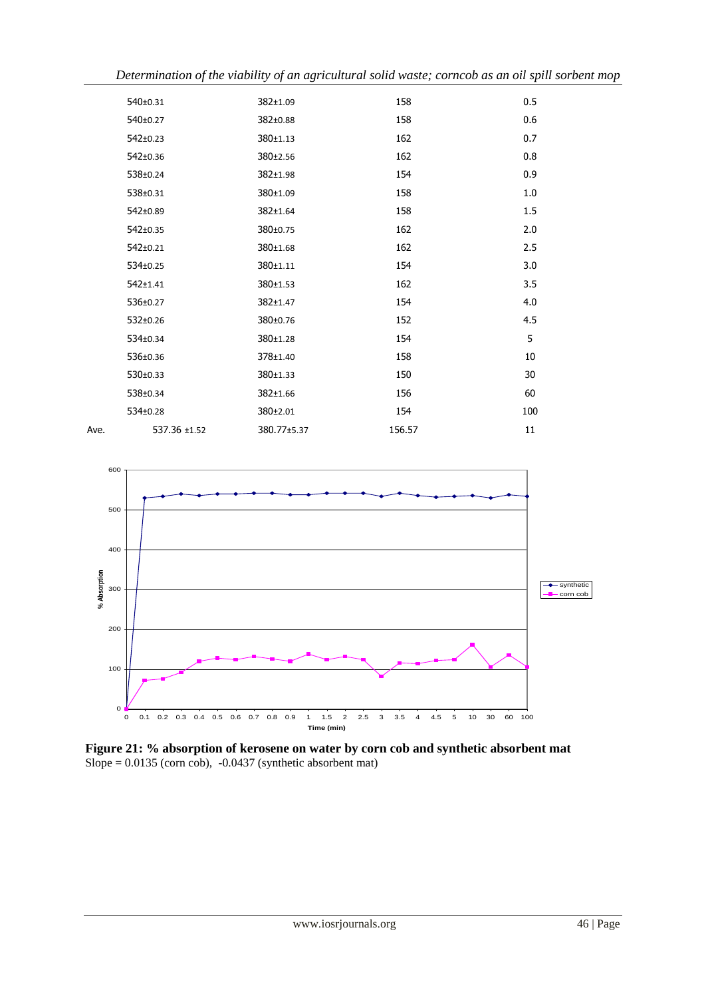|      | J            | J<br>ပ      |        | $\overline{ }$ |
|------|--------------|-------------|--------|----------------|
|      | 540±0.31     | 382±1.09    | 158    | 0.5            |
|      | 540±0.27     | 382±0.88    | 158    | 0.6            |
|      | 542±0.23     | 380±1.13    | 162    | 0.7            |
|      | 542±0.36     | 380±2.56    | 162    | 0.8            |
|      | 538±0.24     | 382±1.98    | 154    | 0.9            |
|      | 538±0.31     | 380±1.09    | 158    | 1.0            |
|      | 542±0.89     | 382±1.64    | 158    | 1.5            |
|      | 542±0.35     | 380±0.75    | 162    | 2.0            |
|      | 542±0.21     | 380±1.68    | 162    | 2.5            |
|      | 534±0.25     | 380±1.11    | 154    | 3.0            |
|      | 542±1.41     | 380±1.53    | 162    | 3.5            |
|      | 536±0.27     | 382±1.47    | 154    | 4.0            |
|      | 532±0.26     | 380±0.76    | 152    | 4.5            |
|      | 534±0.34     | 380±1.28    | 154    | 5              |
|      | 536±0.36     | 378±1.40    | 158    | 10             |
|      | 530±0.33     | 380±1.33    | 150    | 30             |
|      | 538±0.34     | 382±1.66    | 156    | 60             |
|      | 534±0.28     | 380±2.01    | 154    | 100            |
| Ave. | 537.36 ±1.52 | 380.77±5.37 | 156.57 | 11             |



**Figure 21: % absorption of kerosene on water by corn cob and synthetic absorbent mat** Slope =  $0.0135$  (corn cob),  $-0.0437$  (synthetic absorbent mat)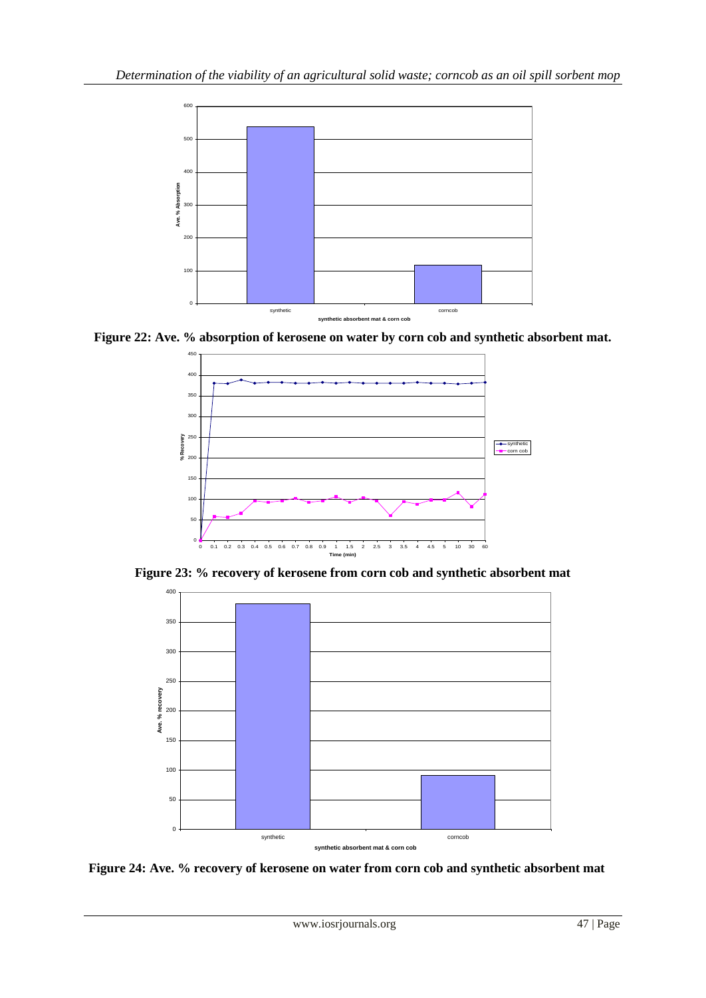

**Figure 22: Ave. % absorption of kerosene on water by corn cob and synthetic absorbent mat.**



**Figure 23: % recovery of kerosene from corn cob and synthetic absorbent mat**



**Figure 24: Ave. % recovery of kerosene on water from corn cob and synthetic absorbent mat**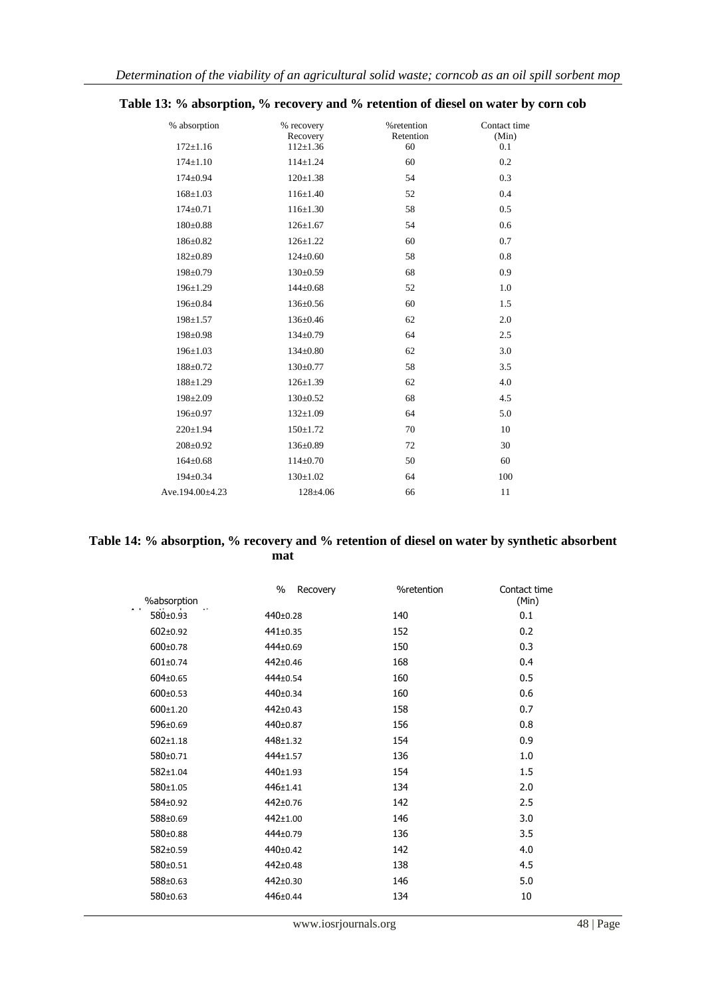| % absorption<br>$172 \pm 1.16$ | % recovery<br>Recovery<br>$112 \pm 1.36$ | %retention<br>Retention<br>60 | Contact time<br>(Min)<br>0.1 |
|--------------------------------|------------------------------------------|-------------------------------|------------------------------|
| $174 \pm 1.10$                 | $114 \pm 1.24$                           | 60                            | 0.2                          |
| $174 \pm 0.94$                 | $120 \pm 1.38$                           | 54                            | 0.3                          |
| $168 \pm 1.03$                 | $116 \pm 1.40$                           | 52                            | 0.4                          |
|                                |                                          |                               |                              |
| $174 \pm 0.71$                 | $116 \pm 1.30$                           | 58                            | 0.5                          |
| $180+0.88$                     | $126 \pm 1.67$                           | 54                            | 0.6                          |
| 186±0.82                       | $126 \pm 1.22$                           | 60                            | 0.7                          |
| $182 \pm 0.89$                 | $124 \pm 0.60$                           | 58                            | 0.8                          |
| $198 \pm 0.79$                 | $130 \pm 0.59$                           | 68                            | 0.9                          |
| $196 \pm 1.29$                 | $144 \pm 0.68$                           | 52                            | 1.0                          |
| $196 \pm 0.84$                 | $136 \pm 0.56$                           | 60                            | 1.5                          |
| $198 \pm 1.57$                 | 136±0.46                                 | 62                            | 2.0                          |
| 198±0.98                       | 134±0.79                                 | 64                            | 2.5                          |
| $196 \pm 1.03$                 | $134 \pm 0.80$                           | 62                            | 3.0                          |
| $188 \pm 0.72$                 | $130 \pm 0.77$                           | 58                            | 3.5                          |
| $188 \pm 1.29$                 | $126 \pm 1.39$                           | 62                            | 4.0                          |
| $198 \pm 2.09$                 | $130 \pm 0.52$                           | 68                            | 4.5                          |
| 196±0.97                       | $132 \pm 1.09$                           | 64                            | 5.0                          |
| $220 \pm 1.94$                 | $150 \pm 1.72$                           | 70                            | 10                           |
| $208 \pm 0.92$                 | $136 \pm 0.89$                           | 72                            | 30                           |
| $164 \pm 0.68$                 | $114\pm0.70$                             | 50                            | 60                           |
| $194 \pm 0.34$                 | $130+1.02$                               | 64                            | 100                          |
| Ave.194.00±4.23                | 128±4.06                                 | 66                            | 11                           |

# **Table 13: % absorption, % recovery and % retention of diesel on water by corn cob**

## **Table 14: % absorption, % recovery and % retention of diesel on water by synthetic absorbent mat**

|                | $\%$<br>Recovery | %retention | Contact time |
|----------------|------------------|------------|--------------|
| %absorption    |                  |            | (Min)        |
| 580±0.93       | 440±0.28         | 140        | 0.1          |
| $602 \pm 0.92$ | 441±0.35         | 152        | 0.2          |
| $600 \pm 0.78$ | 444±0.69         | 150        | 0.3          |
| 601±0.74       | 442±0.46         | 168        | 0.4          |
| 604±0.65       | 444±0.54         | 160        | 0.5          |
| $600 \pm 0.53$ | 440±0.34         | 160        | 0.6          |
| $600 \pm 1.20$ | 442±0.43         | 158        | 0.7          |
| 596±0.69       | 440±0.87         | 156        | 0.8          |
| $602 \pm 1.18$ | 448±1.32         | 154        | 0.9          |
| 580±0.71       | 444±1.57         | 136        | 1.0          |
| $582 \pm 1.04$ | 440±1.93         | 154        | 1.5          |
| 580±1.05       | 446±1.41         | 134        | 2.0          |
| 584±0.92       | 442±0.76         | 142        | 2.5          |
| 588±0.69       | 442±1.00         | 146        | 3.0          |
| 580±0.88       | 444±0.79         | 136        | 3.5          |
| 582±0.59       | 440±0.42         | 142        | 4.0          |
| 580±0.51       | 442±0.48         | 138        | 4.5          |
| 588±0.63       | 442±0.30         | 146        | 5.0          |
| 580±0.63       | 446±0.44         | 134        | 10           |
|                |                  |            |              |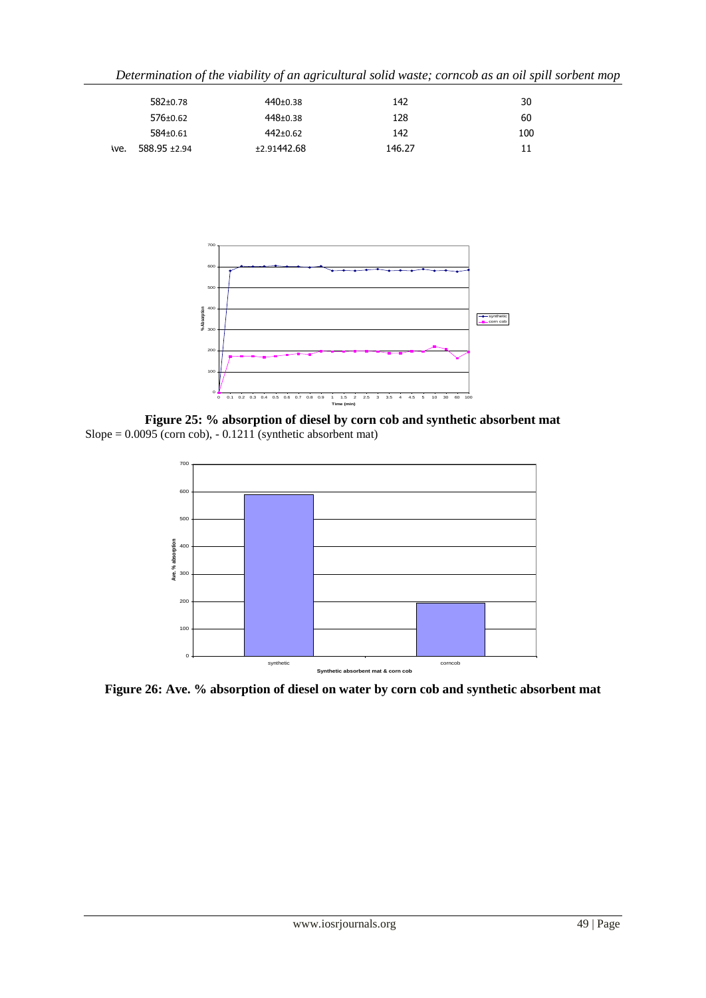| Determination of the viability of an agricultural solid waste; corncob as an oil spill sorbent mop |  |  |  |  |  |
|----------------------------------------------------------------------------------------------------|--|--|--|--|--|
|                                                                                                    |  |  |  |  |  |

|     | $582+0.78$      | $440+0.38$   | 142    | 30  |
|-----|-----------------|--------------|--------|-----|
|     | $576 \pm 0.62$  | $448 + 0.38$ | 128    | 60  |
|     | 584±0.61        | 442±0.62     | 142    | 100 |
| we. | $588.95 + 2.94$ | ±2.91442.68  | 146.27 | 11  |



**Figure 25: % absorption of diesel by corn cob and synthetic absorbent mat** Slope =  $0.0095$  (corn cob),  $-0.1211$  (synthetic absorbent mat)



**Figure 26: Ave. % absorption of diesel on water by corn cob and synthetic absorbent mat**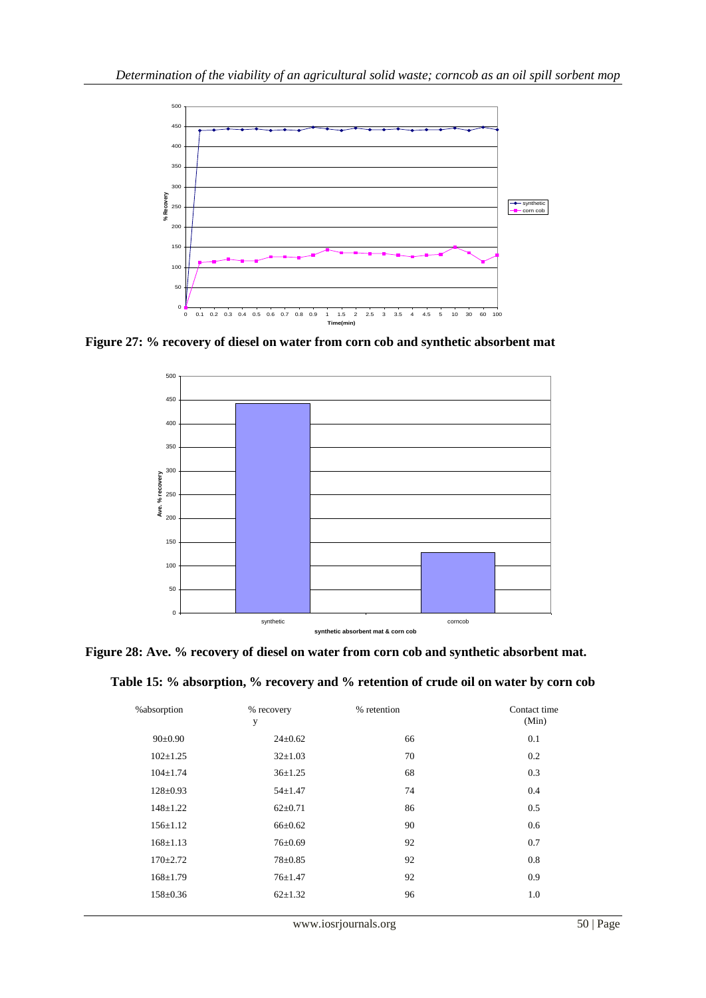

**Figure 27: % recovery of diesel on water from corn cob and synthetic absorbent mat**



**Figure 28: Ave. % recovery of diesel on water from corn cob and synthetic absorbent mat.**

|  |  |  |  | Table 15: % absorption, % recovery and % retention of crude oil on water by corn cob |  |  |  |  |
|--|--|--|--|--------------------------------------------------------------------------------------|--|--|--|--|
|  |  |  |  |                                                                                      |  |  |  |  |
|  |  |  |  |                                                                                      |  |  |  |  |

| %absorption    | % recovery<br>у | % retention | Contact time<br>(Min) |
|----------------|-----------------|-------------|-----------------------|
| $90 \pm 0.90$  | $24 \pm 0.62$   | 66          | 0.1                   |
| $102 \pm 1.25$ | $32 \pm 1.03$   | 70          | 0.2                   |
| $104 \pm 1.74$ | $36 \pm 1.25$   | 68          | 0.3                   |
| $128 \pm 0.93$ | $54 \pm 1.47$   | 74          | 0.4                   |
| $148 + 1.22$   | $62 \pm 0.71$   | 86          | 0.5                   |
| $156 \pm 1.12$ | $66{\pm}0.62$   | 90          | 0.6                   |
| $168 \pm 1.13$ | $76 \pm 0.69$   | 92          | 0.7                   |
| $170 \pm 2.72$ | $78 \pm 0.85$   | 92          | 0.8                   |
| $168 \pm 1.79$ | $76 \pm 1.47$   | 92          | 0.9                   |
| 158±0.36       | $62 \pm 1.32$   | 96          | 1.0                   |
|                |                 |             |                       |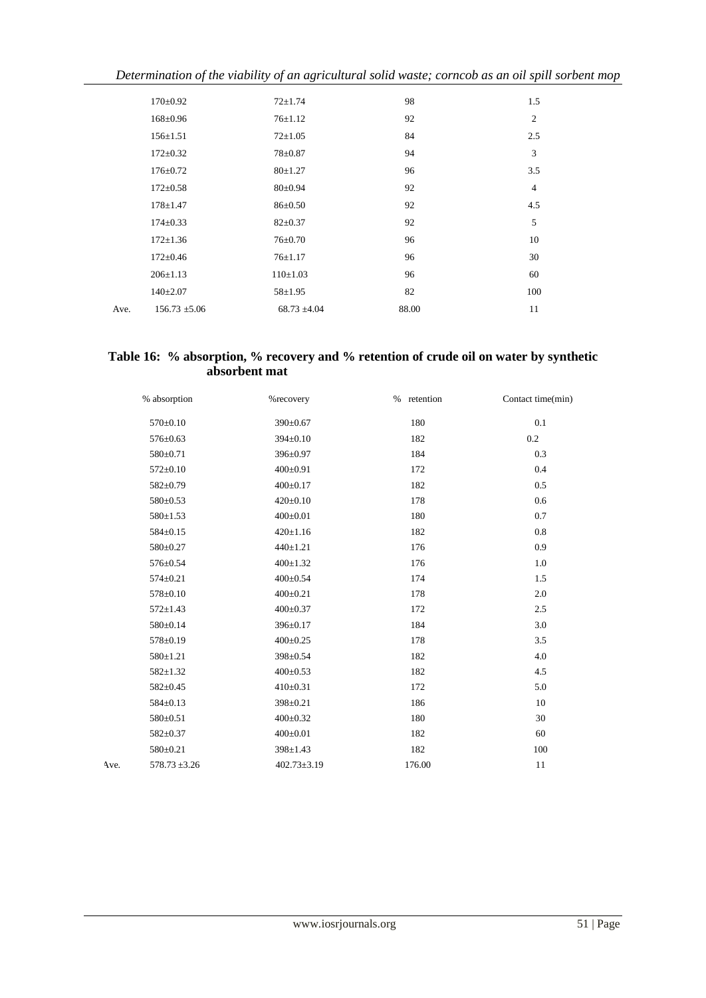| Determination of the viability of an agricultural solid waste; corncob as an oil spill sorbent mop |  |  |  |  |
|----------------------------------------------------------------------------------------------------|--|--|--|--|
|                                                                                                    |  |  |  |  |

|      | $170 \pm 0.92$    | $72 + 1.74$      | 98    | 1.5            |
|------|-------------------|------------------|-------|----------------|
|      | $168 \pm 0.96$    | $76 \pm 1.12$    | 92    | $\overline{2}$ |
|      | $156 \pm 1.51$    | $72 \pm 1.05$    | 84    | 2.5            |
|      | $172 \pm 0.32$    | 78±0.87          | 94    | 3              |
|      | $176 \pm 0.72$    | $80 \pm 1.27$    | 96    | 3.5            |
|      | $172 \pm 0.58$    | $80 \pm 0.94$    | 92    | $\overline{4}$ |
|      | $178 \pm 1.47$    | $86 \pm 0.50$    | 92    | 4.5            |
|      | $174 \pm 0.33$    | $82 \pm 0.37$    | 92    | 5              |
|      | $172 \pm 1.36$    | $76 \pm 0.70$    | 96    | 10             |
|      | $172 \pm 0.46$    | $76 \pm 1.17$    | 96    | 30             |
|      | $206 \pm 1.13$    | 110±1.03         | 96    | 60             |
|      | $140 \pm 2.07$    | $58 \pm 1.95$    | 82    | 100            |
| Ave. | $156.73 \pm 5.06$ | $68.73 \pm 4.04$ | 88.00 | 11             |
|      |                   |                  |       |                |

## **Table 16: % absorption, % recovery and % retention of crude oil on water by synthetic absorbent mat**

|      | % absorption      | %recovery         | retention<br>$\%$ | Contact time(min) |
|------|-------------------|-------------------|-------------------|-------------------|
|      | $570 \pm 0.10$    | 390±0.67          | 180               | 0.1               |
|      | 576±0.63          | $394 \pm 0.10$    | 182               | $0.2\,$           |
|      | 580±0.71          | 396±0.97          | 184               | 0.3               |
|      | $572 \pm 0.10$    | $400 \pm 0.91$    | 172               | 0.4               |
|      | 582±0.79          | $400 \pm 0.17$    | 182               | 0.5               |
|      | 580±0.53          | $420 \pm 0.10$    | 178               | 0.6               |
|      | $580 \pm 1.53$    | $400 \pm 0.01$    | 180               | 0.7               |
|      | 584±0.15          | $420 \pm 1.16$    | 182               | 0.8               |
|      | 580±0.27          | $440 \pm 1.21$    | 176               | 0.9               |
|      | 576±0.54          | $400 \pm 1.32$    | 176               | 1.0               |
|      | $574 \pm 0.21$    | $400 \pm 0.54$    | 174               | 1.5               |
|      | $578 \pm 0.10$    | $400 \pm 0.21$    | 178               | 2.0               |
|      | $572 \pm 1.43$    | $400 \pm 0.37$    | 172               | 2.5               |
|      | 580±0.14          | 396±0.17          | 184               | 3.0               |
|      | 578±0.19          | $400 \pm 0.25$    | 178               | 3.5               |
|      | $580 \pm 1.21$    | 398±0.54          | 182               | 4.0               |
|      | $582 \pm 1.32$    | $400 \pm 0.53$    | 182               | 4.5               |
|      | 582±0.45          | $410 \pm 0.31$    | 172               | 5.0               |
|      | $584 \pm 0.13$    | 398±0.21          | 186               | 10                |
|      | 580±0.51          | $400 \pm 0.32$    | 180               | 30                |
|      | 582±0.37          | $400 \pm 0.01$    | 182               | 60                |
|      | 580±0.21          | $398 \pm 1.43$    | 182               | 100               |
| Ave. | $578.73 \pm 3.26$ | $402.73 \pm 3.19$ | 176.00            | 11                |
|      |                   |                   |                   |                   |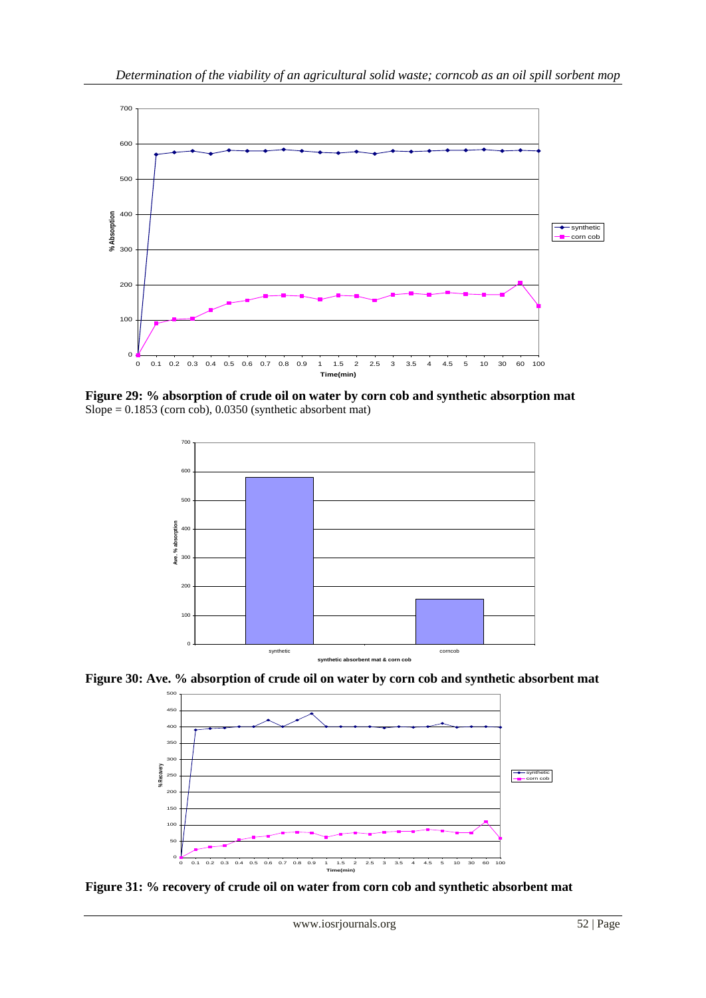

**Figure 29: % absorption of crude oil on water by corn cob and synthetic absorption mat**  $Slope = 0.1853$  (corn cob), 0.0350 (synthetic absorbent mat)



**Figure 30: Ave. % absorption of crude oil on water by corn cob and synthetic absorbent mat**



**Figure 31: % recovery of crude oil on water from corn cob and synthetic absorbent mat**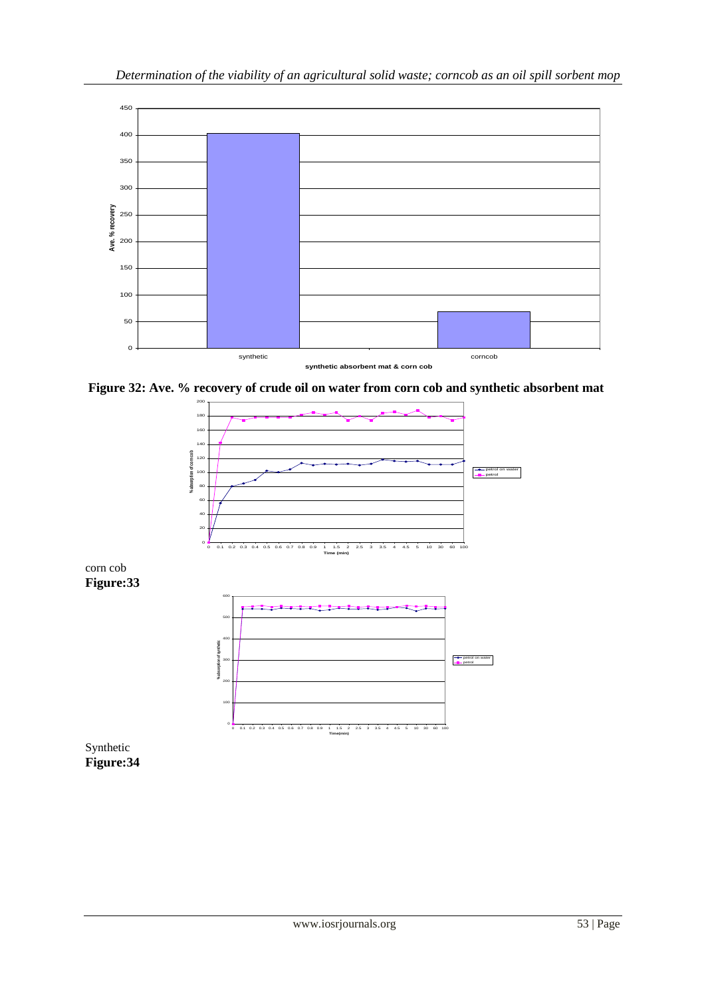

**Figure 32: Ave. % recovery of crude oil on water from corn cob and synthetic absorbent mat**

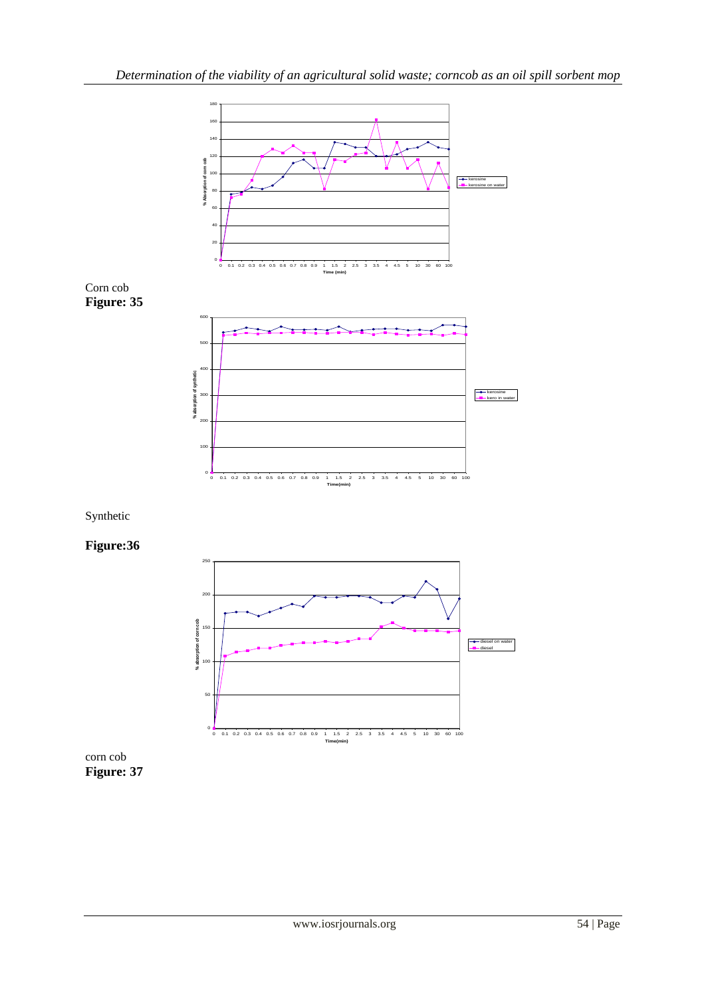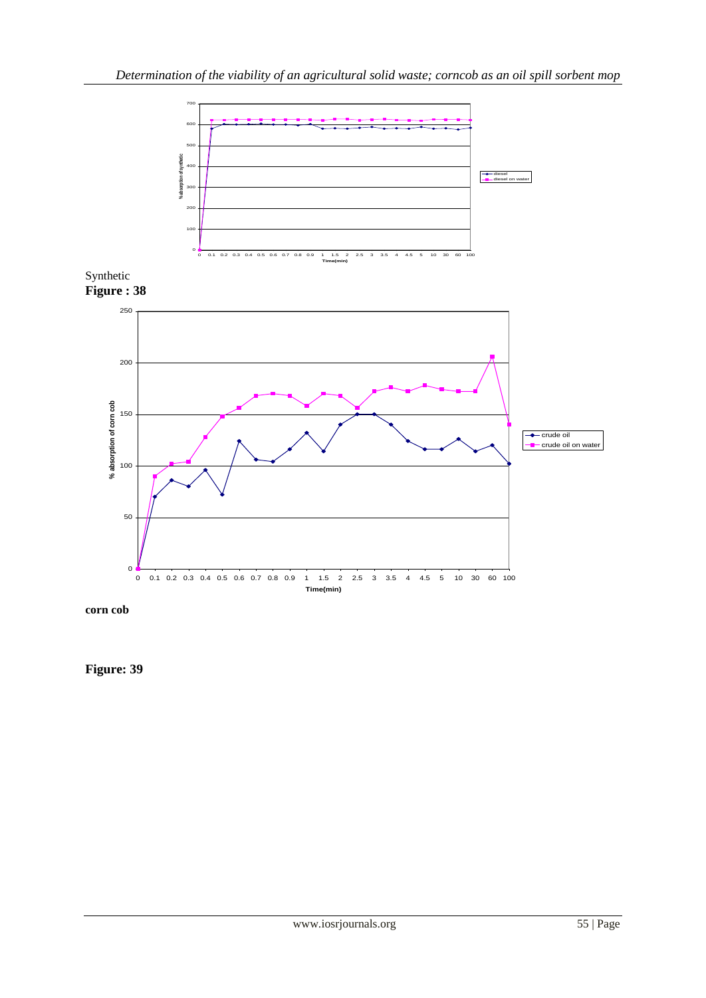

**corn cob**

**Figure: 39**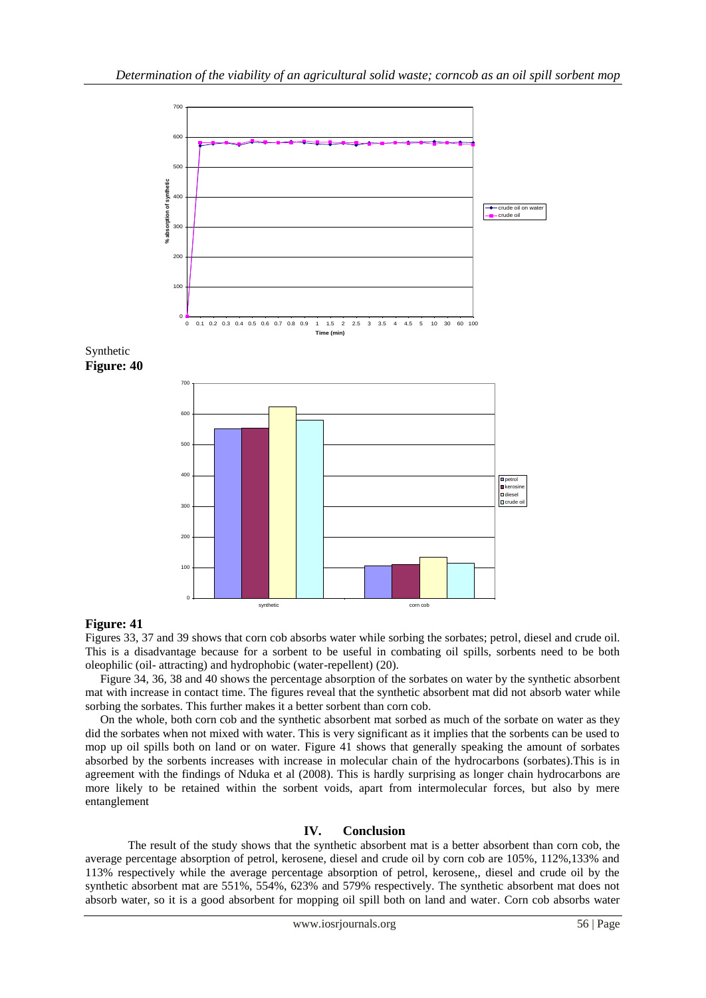

## **Figure: 41**

Figures 33, 37 and 39 shows that corn cob absorbs water while sorbing the sorbates; petrol, diesel and crude oil. This is a disadvantage because for a sorbent to be useful in combating oil spills, sorbents need to be both oleophilic (oil- attracting) and hydrophobic (water-repellent) (20).

 Figure 34, 36, 38 and 40 shows the percentage absorption of the sorbates on water by the synthetic absorbent mat with increase in contact time. The figures reveal that the synthetic absorbent mat did not absorb water while sorbing the sorbates. This further makes it a better sorbent than corn cob.

 On the whole, both corn cob and the synthetic absorbent mat sorbed as much of the sorbate on water as they did the sorbates when not mixed with water. This is very significant as it implies that the sorbents can be used to mop up oil spills both on land or on water. Figure 41 shows that generally speaking the amount of sorbates absorbed by the sorbents increases with increase in molecular chain of the hydrocarbons (sorbates).This is in agreement with the findings of Nduka et al (2008). This is hardly surprising as longer chain hydrocarbons are more likely to be retained within the sorbent voids, apart from intermolecular forces, but also by mere entanglement

### **IV. Conclusion**

The result of the study shows that the synthetic absorbent mat is a better absorbent than corn cob, the average percentage absorption of petrol, kerosene, diesel and crude oil by corn cob are 105%, 112%,133% and 113% respectively while the average percentage absorption of petrol, kerosene,, diesel and crude oil by the synthetic absorbent mat are 551%, 554%, 623% and 579% respectively. The synthetic absorbent mat does not absorb water, so it is a good absorbent for mopping oil spill both on land and water. Corn cob absorbs water